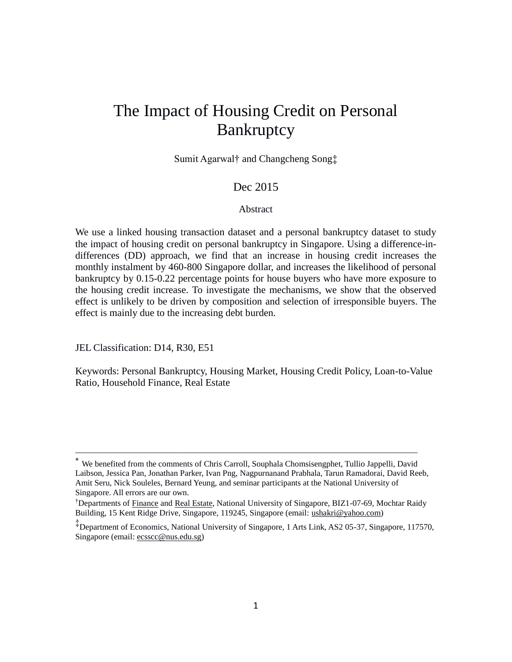# The Impact of Housing Credit on Personal Bankruptcy

Sumit Agarwal† and Changcheng Song‡

## Dec 2015

## Abstract

We use a linked housing transaction dataset and a personal bankruptcy dataset to study the impact of housing credit on personal bankruptcy in Singapore. Using a difference-indifferences (DD) approach, we find that an increase in housing credit increases the monthly instalment by 460-800 Singapore dollar, and increases the likelihood of personal bankruptcy by 0.15-0.22 percentage points for house buyers who have more exposure to the housing credit increase. To investigate the mechanisms, we show that the observed effect is unlikely to be driven by composition and selection of irresponsible buyers. The effect is mainly due to the increasing debt burden.

JEL Classification: D14, R30, E51

Keywords: Personal Bankruptcy, Housing Market, Housing Credit Policy, Loan-to-Value Ratio, Household Finance, Real Estate

\_\_\_\_\_\_\_\_\_\_\_\_\_\_\_\_\_\_\_\_\_\_\_\_\_\_\_\_\_\_\_\_\_\_\_\_\_\_\_\_\_\_\_\_\_\_\_\_\_\_\_\_\_\_\_\_\_\_\_\_\_\_\_\_\_\_\_\_\_\_\_\_\_\_\_\_\_\_\_\_\_\_

<sup>∗</sup> We benefited from the comments of Chris Carroll, Souphala Chomsisengphet, Tullio Jappelli, David Laibson, Jessica Pan, Jonathan Parker, Ivan Png, Nagpurnanand Prabhala, Tarun Ramadorai, David Reeb, Amit Seru, Nick Souleles, Bernard Yeung, and seminar participants at the National University of Singapore. All errors are our own.

<sup>†</sup>Departments of Finance and Real Estate, National University of Singapore, BIZ1-07-69, Mochtar Raidy Building, 15 Kent Ridge Drive, Singapore, 119245, Singapore (email: ushakri@yahoo.com)

<sup>‡</sup> Department of Economics, National University of Singapore, 1 Arts Link, AS2 05-37, Singapore, 117570, Singapore (email: ecsscc@nus.edu.sg)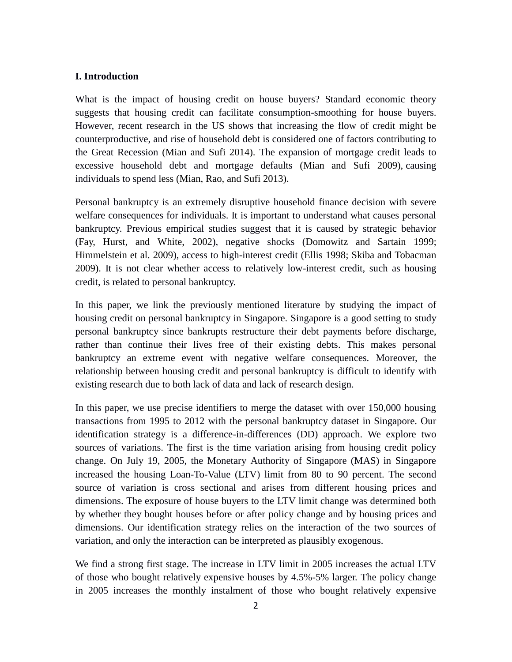## **I. Introduction**

What is the impact of housing credit on house buyers? Standard economic theory suggests that housing credit can facilitate consumption-smoothing for house buyers. However, recent research in the US shows that increasing the flow of credit might be counterproductive, and rise of household debt is considered one of factors contributing to the Great Recession (Mian and Sufi 2014). The expansion of mortgage credit leads to excessive household debt and mortgage defaults (Mian and Sufi 2009), causing individuals to spend less (Mian, Rao, and Sufi 2013).

Personal bankruptcy is an extremely disruptive household finance decision with severe welfare consequences for individuals. It is important to understand what causes personal bankruptcy. Previous empirical studies suggest that it is caused by strategic behavior (Fay, Hurst, and White, 2002), negative shocks (Domowitz and Sartain 1999; Himmelstein et al. 2009), access to high-interest credit (Ellis 1998; Skiba and Tobacman 2009). It is not clear whether access to relatively low-interest credit, such as housing credit, is related to personal bankruptcy.

In this paper, we link the previously mentioned literature by studying the impact of housing credit on personal bankruptcy in Singapore. Singapore is a good setting to study personal bankruptcy since bankrupts restructure their debt payments before discharge, rather than continue their lives free of their existing debts. This makes personal bankruptcy an extreme event with negative welfare consequences. Moreover, the relationship between housing credit and personal bankruptcy is difficult to identify with existing research due to both lack of data and lack of research design.

In this paper, we use precise identifiers to merge the dataset with over 150,000 housing transactions from 1995 to 2012 with the personal bankruptcy dataset in Singapore. Our identification strategy is a difference-in-differences (DD) approach. We explore two sources of variations. The first is the time variation arising from housing credit policy change. On July 19, 2005, the Monetary Authority of Singapore (MAS) in Singapore increased the housing Loan-To-Value (LTV) limit from 80 to 90 percent. The second source of variation is cross sectional and arises from different housing prices and dimensions. The exposure of house buyers to the LTV limit change was determined both by whether they bought houses before or after policy change and by housing prices and dimensions. Our identification strategy relies on the interaction of the two sources of variation, and only the interaction can be interpreted as plausibly exogenous.

We find a strong first stage. The increase in LTV limit in 2005 increases the actual LTV of those who bought relatively expensive houses by 4.5%-5% larger. The policy change in 2005 increases the monthly instalment of those who bought relatively expensive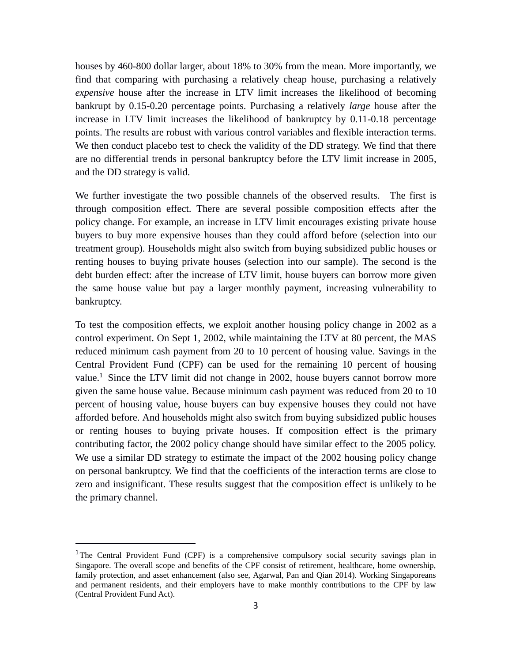houses by 460-800 dollar larger, about 18% to 30% from the mean. More importantly, we find that comparing with purchasing a relatively cheap house, purchasing a relatively *expensive* house after the increase in LTV limit increases the likelihood of becoming bankrupt by 0.15-0.20 percentage points. Purchasing a relatively *large* house after the increase in LTV limit increases the likelihood of bankruptcy by 0.11-0.18 percentage points. The results are robust with various control variables and flexible interaction terms. We then conduct placebo test to check the validity of the DD strategy. We find that there are no differential trends in personal bankruptcy before the LTV limit increase in 2005, and the DD strategy is valid.

We further investigate the two possible channels of the observed results. The first is through composition effect. There are several possible composition effects after the policy change. For example, an increase in LTV limit encourages existing private house buyers to buy more expensive houses than they could afford before (selection into our treatment group). Households might also switch from buying subsidized public houses or renting houses to buying private houses (selection into our sample). The second is the debt burden effect: after the increase of LTV limit, house buyers can borrow more given the same house value but pay a larger monthly payment, increasing vulnerability to bankruptcy.

To test the composition effects, we exploit another housing policy change in 2002 as a control experiment. On Sept 1, 2002, while maintaining the LTV at 80 percent, the MAS reduced minimum cash payment from 20 to 10 percent of housing value. Savings in the Central Provident Fund (CPF) can be used for the remaining 10 percent of housing value.<sup>1</sup> Since the LTV limit did not change in 2002, house buyers cannot borrow more given the same house value. Because minimum cash payment was reduced from 20 to 10 percent of housing value, house buyers can buy expensive houses they could not have afforded before. And households might also switch from buying subsidized public houses or renting houses to buying private houses. If composition effect is the primary contributing factor, the 2002 policy change should have similar effect to the 2005 policy. We use a similar DD strategy to estimate the impact of the 2002 housing policy change on personal bankruptcy. We find that the coefficients of the interaction terms are close to zero and insignificant. These results suggest that the composition effect is unlikely to be the primary channel.

<sup>&</sup>lt;sup>1</sup>The Central Provident Fund (CPF) is a comprehensive compulsory social security savings plan in Singapore. The overall scope and benefits of the CPF consist of retirement, healthcare, home ownership, family protection, and asset enhancement (also see, Agarwal, Pan and Qian 2014). Working Singaporeans and permanent residents, and their employers have to make monthly contributions to the CPF by law (Central Provident Fund Act).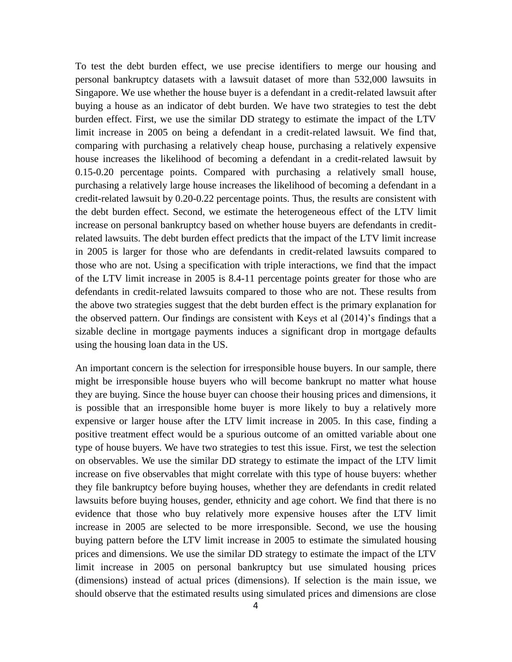To test the debt burden effect, we use precise identifiers to merge our housing and personal bankruptcy datasets with a lawsuit dataset of more than 532,000 lawsuits in Singapore. We use whether the house buyer is a defendant in a credit-related lawsuit after buying a house as an indicator of debt burden. We have two strategies to test the debt burden effect. First, we use the similar DD strategy to estimate the impact of the LTV limit increase in 2005 on being a defendant in a credit-related lawsuit. We find that, comparing with purchasing a relatively cheap house, purchasing a relatively expensive house increases the likelihood of becoming a defendant in a credit-related lawsuit by 0.15-0.20 percentage points. Compared with purchasing a relatively small house, purchasing a relatively large house increases the likelihood of becoming a defendant in a credit-related lawsuit by 0.20-0.22 percentage points. Thus, the results are consistent with the debt burden effect. Second, we estimate the heterogeneous effect of the LTV limit increase on personal bankruptcy based on whether house buyers are defendants in creditrelated lawsuits. The debt burden effect predicts that the impact of the LTV limit increase in 2005 is larger for those who are defendants in credit-related lawsuits compared to those who are not. Using a specification with triple interactions, we find that the impact of the LTV limit increase in 2005 is 8.4-11 percentage points greater for those who are defendants in credit-related lawsuits compared to those who are not. These results from the above two strategies suggest that the debt burden effect is the primary explanation for the observed pattern. Our findings are consistent with Keys et al (2014)'s findings that a sizable decline in mortgage payments induces a significant drop in mortgage defaults using the housing loan data in the US.

An important concern is the selection for irresponsible house buyers. In our sample, there might be irresponsible house buyers who will become bankrupt no matter what house they are buying. Since the house buyer can choose their housing prices and dimensions, it is possible that an irresponsible home buyer is more likely to buy a relatively more expensive or larger house after the LTV limit increase in 2005. In this case, finding a positive treatment effect would be a spurious outcome of an omitted variable about one type of house buyers. We have two strategies to test this issue. First, we test the selection on observables. We use the similar DD strategy to estimate the impact of the LTV limit increase on five observables that might correlate with this type of house buyers: whether they file bankruptcy before buying houses, whether they are defendants in credit related lawsuits before buying houses, gender, ethnicity and age cohort. We find that there is no evidence that those who buy relatively more expensive houses after the LTV limit increase in 2005 are selected to be more irresponsible. Second, we use the housing buying pattern before the LTV limit increase in 2005 to estimate the simulated housing prices and dimensions. We use the similar DD strategy to estimate the impact of the LTV limit increase in 2005 on personal bankruptcy but use simulated housing prices (dimensions) instead of actual prices (dimensions). If selection is the main issue, we should observe that the estimated results using simulated prices and dimensions are close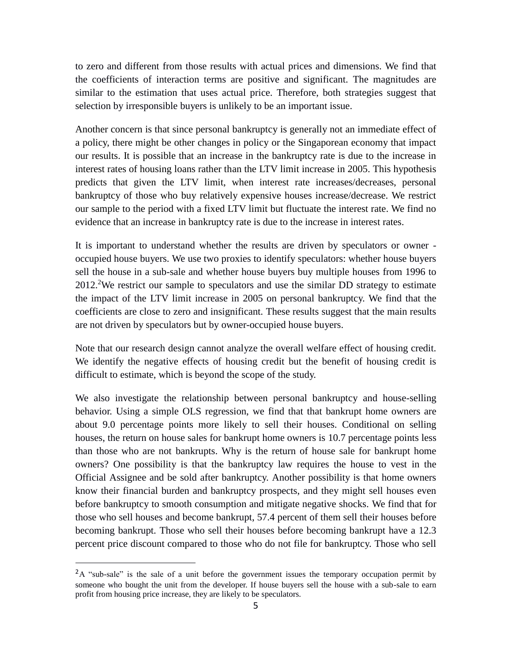to zero and different from those results with actual prices and dimensions. We find that the coefficients of interaction terms are positive and significant. The magnitudes are similar to the estimation that uses actual price. Therefore, both strategies suggest that selection by irresponsible buyers is unlikely to be an important issue.

Another concern is that since personal bankruptcy is generally not an immediate effect of a policy, there might be other changes in policy or the Singaporean economy that impact our results. It is possible that an increase in the bankruptcy rate is due to the increase in interest rates of housing loans rather than the LTV limit increase in 2005. This hypothesis predicts that given the LTV limit, when interest rate increases/decreases, personal bankruptcy of those who buy relatively expensive houses increase/decrease. We restrict our sample to the period with a fixed LTV limit but fluctuate the interest rate. We find no evidence that an increase in bankruptcy rate is due to the increase in interest rates.

It is important to understand whether the results are driven by speculators or owner occupied house buyers. We use two proxies to identify speculators: whether house buyers sell the house in a sub-sale and whether house buyers buy multiple houses from 1996 to 2012.<sup>2</sup>We restrict our sample to speculators and use the similar DD strategy to estimate the impact of the LTV limit increase in 2005 on personal bankruptcy. We find that the coefficients are close to zero and insignificant. These results suggest that the main results are not driven by speculators but by owner-occupied house buyers.

Note that our research design cannot analyze the overall welfare effect of housing credit. We identify the negative effects of housing credit but the benefit of housing credit is difficult to estimate, which is beyond the scope of the study.

We also investigate the relationship between personal bankruptcy and house-selling behavior. Using a simple OLS regression, we find that that bankrupt home owners are about 9.0 percentage points more likely to sell their houses. Conditional on selling houses, the return on house sales for bankrupt home owners is 10.7 percentage points less than those who are not bankrupts. Why is the return of house sale for bankrupt home owners? One possibility is that the bankruptcy law requires the house to vest in the Official Assignee and be sold after bankruptcy. Another possibility is that home owners know their financial burden and bankruptcy prospects, and they might sell houses even before bankruptcy to smooth consumption and mitigate negative shocks. We find that for those who sell houses and become bankrupt, 57.4 percent of them sell their houses before becoming bankrupt. Those who sell their houses before becoming bankrupt have a 12.3 percent price discount compared to those who do not file for bankruptcy. Those who sell

<sup>&</sup>lt;sup>2</sup>A "sub-sale" is the sale of a unit before the government issues the temporary occupation permit by someone who bought the unit from the developer. If house buyers sell the house with a sub-sale to earn profit from housing price increase, they are likely to be speculators.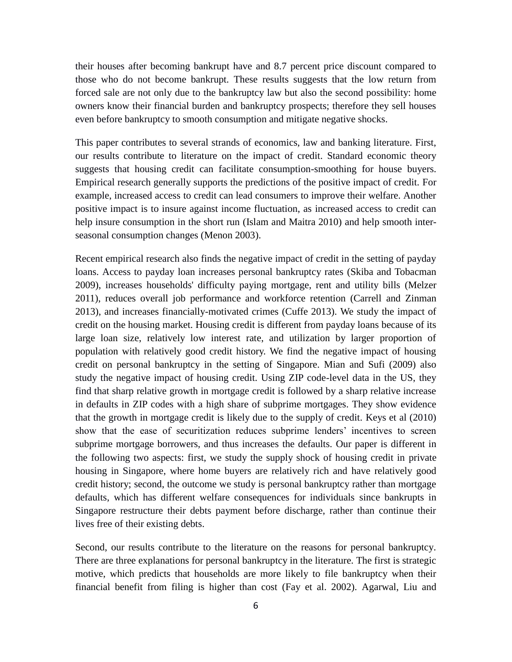their houses after becoming bankrupt have and 8.7 percent price discount compared to those who do not become bankrupt. These results suggests that the low return from forced sale are not only due to the bankruptcy law but also the second possibility: home owners know their financial burden and bankruptcy prospects; therefore they sell houses even before bankruptcy to smooth consumption and mitigate negative shocks.

This paper contributes to several strands of economics, law and banking literature. First, our results contribute to literature on the impact of credit. Standard economic theory suggests that housing credit can facilitate consumption-smoothing for house buyers. Empirical research generally supports the predictions of the positive impact of credit. For example, increased access to credit can lead consumers to improve their welfare. Another positive impact is to insure against income fluctuation, as increased access to credit can help insure consumption in the short run (Islam and Maitra 2010) and help smooth interseasonal consumption changes (Menon 2003).

Recent empirical research also finds the negative impact of credit in the setting of payday loans. Access to payday loan increases personal bankruptcy rates (Skiba and Tobacman 2009), increases households' difficulty paying mortgage, rent and utility bills (Melzer 2011), reduces overall job performance and workforce retention (Carrell and Zinman 2013), and increases financially-motivated crimes (Cuffe 2013). We study the impact of credit on the housing market. Housing credit is different from payday loans because of its large loan size, relatively low interest rate, and utilization by larger proportion of population with relatively good credit history. We find the negative impact of housing credit on personal bankruptcy in the setting of Singapore. Mian and Sufi (2009) also study the negative impact of housing credit. Using ZIP code-level data in the US, they find that sharp relative growth in mortgage credit is followed by a sharp relative increase in defaults in ZIP codes with a high share of subprime mortgages. They show evidence that the growth in mortgage credit is likely due to the supply of credit. Keys et al (2010) show that the ease of securitization reduces subprime lenders' incentives to screen subprime mortgage borrowers, and thus increases the defaults. Our paper is different in the following two aspects: first, we study the supply shock of housing credit in private housing in Singapore, where home buyers are relatively rich and have relatively good credit history; second, the outcome we study is personal bankruptcy rather than mortgage defaults, which has different welfare consequences for individuals since bankrupts in Singapore restructure their debts payment before discharge, rather than continue their lives free of their existing debts.

Second, our results contribute to the literature on the reasons for personal bankruptcy. There are three explanations for personal bankruptcy in the literature. The first is strategic motive, which predicts that households are more likely to file bankruptcy when their financial benefit from filing is higher than cost (Fay et al. 2002). Agarwal, Liu and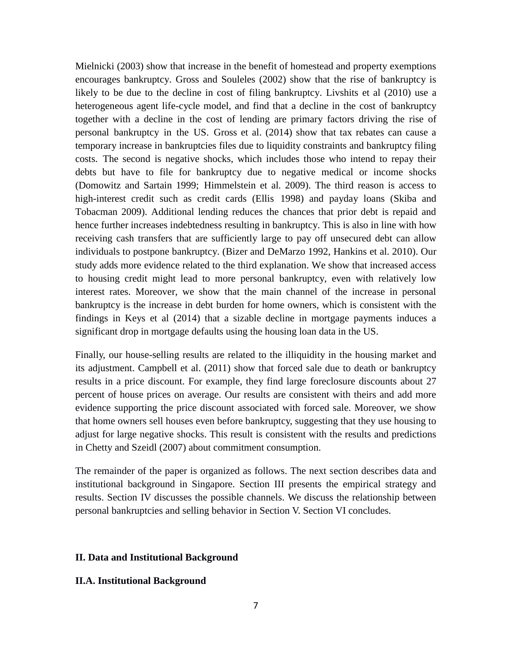Mielnicki (2003) show that increase in the benefit of homestead and property exemptions encourages bankruptcy. Gross and Souleles (2002) show that the rise of bankruptcy is likely to be due to the decline in cost of filing bankruptcy. Livshits et al (2010) use a heterogeneous agent life-cycle model, and find that a decline in the cost of bankruptcy together with a decline in the cost of lending are primary factors driving the rise of personal bankruptcy in the US. Gross et al. (2014) show that tax rebates can cause a temporary increase in bankruptcies files due to liquidity constraints and bankruptcy filing costs. The second is negative shocks, which includes those who intend to repay their debts but have to file for bankruptcy due to negative medical or income shocks (Domowitz and Sartain 1999; Himmelstein et al. 2009). The third reason is access to high-interest credit such as credit cards (Ellis 1998) and payday loans (Skiba and Tobacman 2009). Additional lending reduces the chances that prior debt is repaid and hence further increases indebtedness resulting in bankruptcy. This is also in line with how receiving cash transfers that are sufficiently large to pay off unsecured debt can allow individuals to postpone bankruptcy. (Bizer and DeMarzo 1992, Hankins et al. 2010). Our study adds more evidence related to the third explanation. We show that increased access to housing credit might lead to more personal bankruptcy, even with relatively low interest rates. Moreover, we show that the main channel of the increase in personal bankruptcy is the increase in debt burden for home owners, which is consistent with the findings in Keys et al (2014) that a sizable decline in mortgage payments induces a significant drop in mortgage defaults using the housing loan data in the US.

Finally, our house-selling results are related to the illiquidity in the housing market and its adjustment. Campbell et al. (2011) show that forced sale due to death or bankruptcy results in a price discount. For example, they find large foreclosure discounts about 27 percent of house prices on average. Our results are consistent with theirs and add more evidence supporting the price discount associated with forced sale. Moreover, we show that home owners sell houses even before bankruptcy, suggesting that they use housing to adjust for large negative shocks. This result is consistent with the results and predictions in Chetty and Szeidl (2007) about commitment consumption.

The remainder of the paper is organized as follows. The next section describes data and institutional background in Singapore. Section III presents the empirical strategy and results. Section IV discusses the possible channels. We discuss the relationship between personal bankruptcies and selling behavior in Section V. Section VI concludes.

## **II. Data and Institutional Background**

## **II.A. Institutional Background**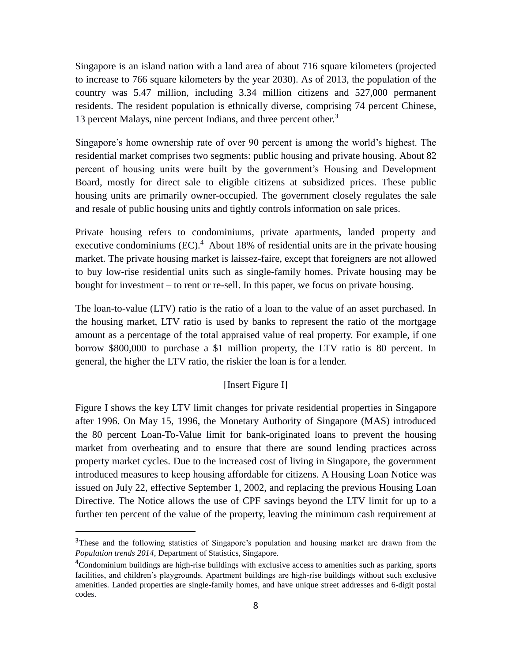Singapore is an island nation with a land area of about 716 square kilometers (projected to increase to 766 square kilometers by the year 2030). As of 2013, the population of the country was 5.47 million, including 3.34 million citizens and 527,000 permanent residents. The resident population is ethnically diverse, comprising 74 percent Chinese, 13 percent Malays, nine percent Indians, and three percent other.<sup>3</sup>

Singapore's home ownership rate of over 90 percent is among the world's highest. The residential market comprises two segments: public housing and private housing. About 82 percent of housing units were built by the government's Housing and Development Board, mostly for direct sale to eligible citizens at subsidized prices. These public housing units are primarily owner-occupied. The government closely regulates the sale and resale of public housing units and tightly controls information on sale prices.

Private housing refers to condominiums, private apartments, landed property and executive condominiums  $(EC)^4$ . About 18% of residential units are in the private housing market. The private housing market is laissez-faire, except that foreigners are not allowed to buy low-rise residential units such as single-family homes. Private housing may be bought for investment – to rent or re-sell. In this paper, we focus on private housing.

The loan-to-value (LTV) ratio is the ratio of a loan to the value of an asset purchased. In the housing market, LTV ratio is used by banks to represent the ratio of the mortgage amount as a percentage of the total appraised value of real property. For example, if one borrow \$800,000 to purchase a \$1 million property, the LTV ratio is 80 percent. In general, the higher the LTV ratio, the riskier the loan is for a lender.

## [Insert Figure I]

Figure I shows the key LTV limit changes for private residential properties in Singapore after 1996. On May 15, 1996, the Monetary Authority of Singapore (MAS) introduced the 80 percent Loan-To-Value limit for bank-originated loans to prevent the housing market from overheating and to ensure that there are sound lending practices across property market cycles. Due to the increased cost of living in Singapore, the government introduced measures to keep housing affordable for citizens. A Housing Loan Notice was issued on July 22, effective September 1, 2002, and replacing the previous Housing Loan Directive. The Notice allows the use of CPF savings beyond the LTV limit for up to a further ten percent of the value of the property, leaving the minimum cash requirement at

<sup>&</sup>lt;sup>3</sup>These and the following statistics of Singapore's population and housing market are drawn from the *Population trends 2014*, Department of Statistics, Singapore.

<sup>&</sup>lt;sup>4</sup>Condominium buildings are high-rise buildings with exclusive access to amenities such as parking, sports facilities, and children's playgrounds. Apartment buildings are high-rise buildings without such exclusive amenities. Landed properties are single-family homes, and have unique street addresses and 6-digit postal codes.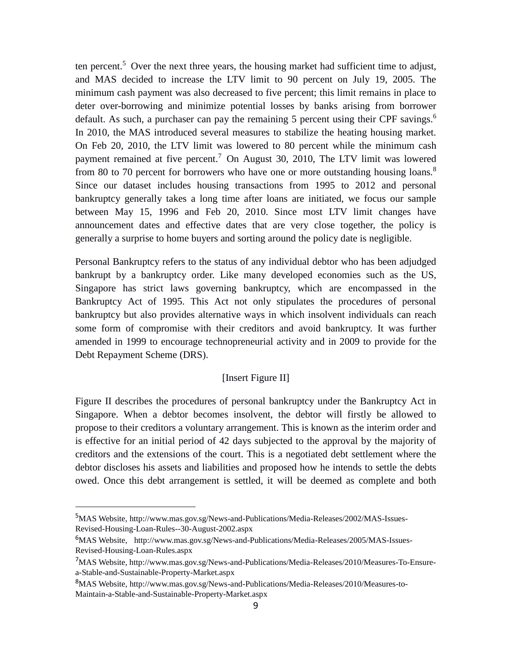ten percent.<sup>5</sup> Over the next three years, the housing market had sufficient time to adjust, and MAS decided to increase the LTV limit to 90 percent on July 19, 2005. The minimum cash payment was also decreased to five percent; this limit remains in place to deter over-borrowing and minimize potential losses by banks arising from borrower default. As such, a purchaser can pay the remaining 5 percent using their CPF savings.<sup>6</sup> In 2010, the MAS introduced several measures to stabilize the heating housing market. On Feb 20, 2010, the LTV limit was lowered to 80 percent while the minimum cash payment remained at five percent.<sup>7</sup> On August 30, 2010, The LTV limit was lowered from 80 to 70 percent for borrowers who have one or more outstanding housing loans.<sup>8</sup> Since our dataset includes housing transactions from 1995 to 2012 and personal bankruptcy generally takes a long time after loans are initiated, we focus our sample between May 15, 1996 and Feb 20, 2010. Since most LTV limit changes have announcement dates and effective dates that are very close together, the policy is generally a surprise to home buyers and sorting around the policy date is negligible.

Personal Bankruptcy refers to the status of any individual debtor who has been adjudged bankrupt by a bankruptcy order. Like many developed economies such as the US, Singapore has strict laws governing bankruptcy, which are encompassed in the Bankruptcy Act of 1995. This Act not only stipulates the procedures of personal bankruptcy but also provides alternative ways in which insolvent individuals can reach some form of compromise with their creditors and avoid bankruptcy. It was further amended in 1999 to encourage technopreneurial activity and in 2009 to provide for the Debt Repayment Scheme (DRS).

## [Insert Figure II]

Figure II describes the procedures of personal bankruptcy under the Bankruptcy Act in Singapore. When a debtor becomes insolvent, the debtor will firstly be allowed to propose to their creditors a voluntary arrangement. This is known as the interim order and is effective for an initial period of 42 days subjected to the approval by the majority of creditors and the extensions of the court. This is a negotiated debt settlement where the debtor discloses his assets and liabilities and proposed how he intends to settle the debts owed. Once this debt arrangement is settled, it will be deemed as complete and both

<sup>5</sup>MAS Website, [http://www.mas.gov.sg/News-and-Publications/Media-Releases/2002/MAS-Issues-](http://www.mas.gov.sg/News-and-Publications/Media-Releases/2002/MAS-Issues-Revised-Housing-Loan-Rules--30-August-2002.aspx)[Revised-Housing-Loan-Rules--30-August-2002.aspx](http://www.mas.gov.sg/News-and-Publications/Media-Releases/2002/MAS-Issues-Revised-Housing-Loan-Rules--30-August-2002.aspx)

<sup>6</sup>MAS Website, [http://www.mas.gov.sg/News-and-Publications/Media-Releases/2005/MAS-Issues-](http://www.mas.gov.sg/News-and-Publications/Media-Releases/2005/MAS-Issues-Revised-Housing-Loan-Rules.aspx)[Revised-Housing-Loan-Rules.aspx](http://www.mas.gov.sg/News-and-Publications/Media-Releases/2005/MAS-Issues-Revised-Housing-Loan-Rules.aspx)

<sup>7</sup>MAS Website, [http://www.mas.gov.sg/News-and-Publications/Media-Releases/2010/Measures-To-Ensure](http://www.mas.gov.sg/News-and-Publications/Media-Releases/2010/Measures-To-Ensure-a-Stable-and-Sustainable-Property-Market.aspx)[a-Stable-and-Sustainable-Property-Market.aspx](http://www.mas.gov.sg/News-and-Publications/Media-Releases/2010/Measures-To-Ensure-a-Stable-and-Sustainable-Property-Market.aspx)

<sup>8</sup>MAS Website, http://www.mas.gov.sg/News-and-Publications/Media-Releases/2010/Measures-to-Maintain-a-Stable-and-Sustainable-Property-Market.aspx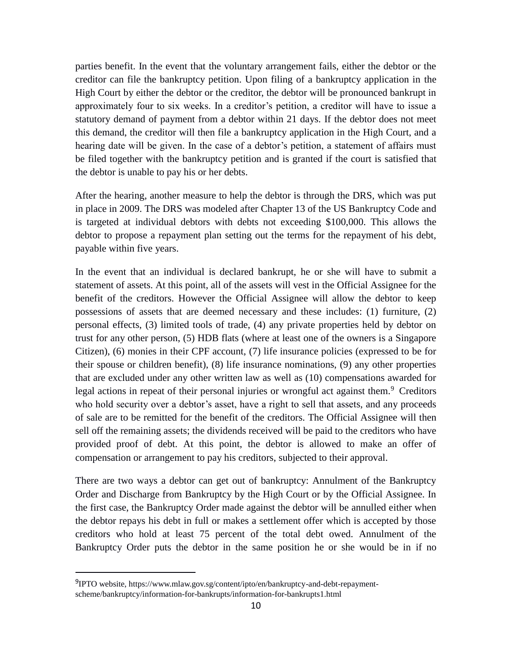parties benefit. In the event that the voluntary arrangement fails, either the debtor or the creditor can file the bankruptcy petition. Upon filing of a bankruptcy application in the High Court by either the debtor or the creditor, the debtor will be pronounced bankrupt in approximately four to six weeks. In a creditor's petition, a creditor will have to issue a statutory demand of payment from a debtor within 21 days. If the debtor does not meet this demand, the creditor will then file a bankruptcy application in the High Court, and a hearing date will be given. In the case of a debtor's petition, a statement of affairs must be filed together with the bankruptcy petition and is granted if the court is satisfied that the debtor is unable to pay his or her debts.

After the hearing, another measure to help the debtor is through the DRS, which was put in place in 2009. The DRS was modeled after Chapter 13 of the US Bankruptcy Code and is targeted at individual debtors with debts not exceeding \$100,000. This allows the debtor to propose a repayment plan setting out the terms for the repayment of his debt, payable within five years.

In the event that an individual is declared bankrupt, he or she will have to submit a statement of assets. At this point, all of the assets will vest in the Official Assignee for the benefit of the creditors. However the Official Assignee will allow the debtor to keep possessions of assets that are deemed necessary and these includes: (1) furniture, (2) personal effects, (3) limited tools of trade, (4) any private properties held by debtor on trust for any other person, (5) HDB flats (where at least one of the owners is a Singapore Citizen), (6) monies in their CPF account, (7) life insurance policies (expressed to be for their spouse or children benefit), (8) life insurance nominations, (9) any other properties that are excluded under any other written law as well as (10) compensations awarded for legal actions in repeat of their personal injuries or wrongful act against them.<sup>9</sup> Creditors who hold security over a debtor's asset, have a right to sell that assets, and any proceeds of sale are to be remitted for the benefit of the creditors. The Official Assignee will then sell off the remaining assets; the dividends received will be paid to the creditors who have provided proof of debt. At this point, the debtor is allowed to make an offer of compensation or arrangement to pay his creditors, subjected to their approval.

There are two ways a debtor can get out of bankruptcy: Annulment of the Bankruptcy Order and Discharge from Bankruptcy by the High Court or by the Official Assignee. In the first case, the Bankruptcy Order made against the debtor will be annulled either when the debtor repays his debt in full or makes a settlement offer which is accepted by those creditors who hold at least 75 percent of the total debt owed. Annulment of the Bankruptcy Order puts the debtor in the same position he or she would be in if no

<sup>&</sup>lt;sup>9</sup>IPTO website, https://www.mlaw.gov.sg/content/ipto/en/bankruptcy-and-debt-repaymentscheme/bankruptcy/information-for-bankrupts/information-for-bankrupts1.html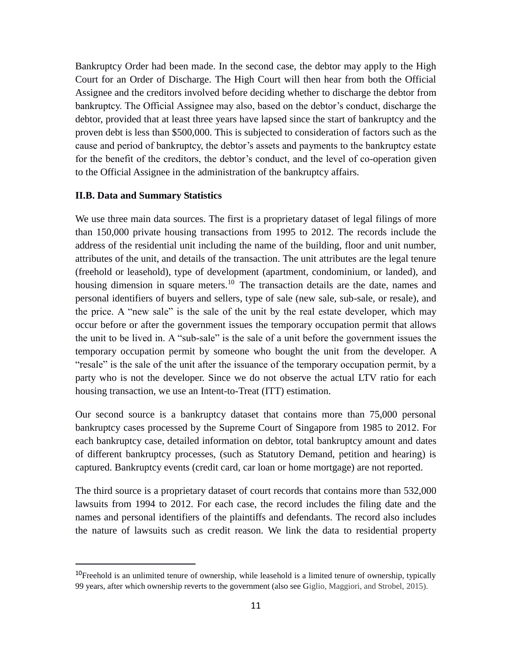Bankruptcy Order had been made. In the second case, the debtor may apply to the High Court for an Order of Discharge. The High Court will then hear from both the Official Assignee and the creditors involved before deciding whether to discharge the debtor from bankruptcy. The Official Assignee may also, based on the debtor's conduct, discharge the debtor, provided that at least three years have lapsed since the start of bankruptcy and the proven debt is less than \$500,000. This is subjected to consideration of factors such as the cause and period of bankruptcy, the debtor's assets and payments to the bankruptcy estate for the benefit of the creditors, the debtor's conduct, and the level of co-operation given to the Official Assignee in the administration of the bankruptcy affairs.

#### **II.B. Data and Summary Statistics**

 $\overline{a}$ 

We use three main data sources. The first is a proprietary dataset of legal filings of more than 150,000 private housing transactions from 1995 to 2012. The records include the address of the residential unit including the name of the building, floor and unit number, attributes of the unit, and details of the transaction. The unit attributes are the legal tenure (freehold or leasehold), type of development (apartment, condominium, or landed), and housing dimension in square meters.<sup>10</sup> The transaction details are the date, names and personal identifiers of buyers and sellers, type of sale (new sale, sub-sale, or resale), and the price. A "new sale" is the sale of the unit by the real estate developer, which may occur before or after the government issues the temporary occupation permit that allows the unit to be lived in. A "sub-sale" is the sale of a unit before the government issues the temporary occupation permit by someone who bought the unit from the developer. A "resale" is the sale of the unit after the issuance of the temporary occupation permit, by a party who is not the developer. Since we do not observe the actual LTV ratio for each housing transaction, we use an Intent-to-Treat (ITT) estimation.

Our second source is a bankruptcy dataset that contains more than 75,000 personal bankruptcy cases processed by the Supreme Court of Singapore from 1985 to 2012. For each bankruptcy case, detailed information on debtor, total bankruptcy amount and dates of different bankruptcy processes, (such as Statutory Demand, petition and hearing) is captured. Bankruptcy events (credit card, car loan or home mortgage) are not reported.

The third source is a proprietary dataset of court records that contains more than 532,000 lawsuits from 1994 to 2012. For each case, the record includes the filing date and the names and personal identifiers of the plaintiffs and defendants. The record also includes the nature of lawsuits such as credit reason. We link the data to residential property

<sup>&</sup>lt;sup>10</sup>Freehold is an unlimited tenure of ownership, while leasehold is a limited tenure of ownership, typically 99 years, after which ownership reverts to the government (also see Giglio, Maggiori, and Strobel, 2015).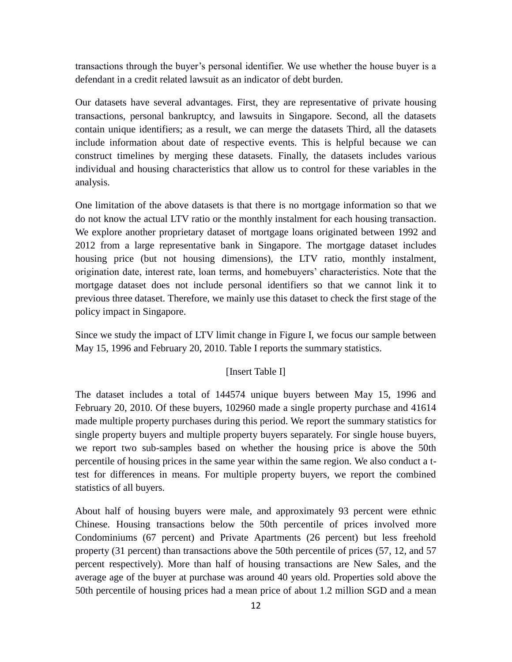transactions through the buyer's personal identifier. We use whether the house buyer is a defendant in a credit related lawsuit as an indicator of debt burden.

Our datasets have several advantages. First, they are representative of private housing transactions, personal bankruptcy, and lawsuits in Singapore. Second, all the datasets contain unique identifiers; as a result, we can merge the datasets Third, all the datasets include information about date of respective events. This is helpful because we can construct timelines by merging these datasets. Finally, the datasets includes various individual and housing characteristics that allow us to control for these variables in the analysis.

One limitation of the above datasets is that there is no mortgage information so that we do not know the actual LTV ratio or the monthly instalment for each housing transaction. We explore another proprietary dataset of mortgage loans originated between 1992 and 2012 from a large representative bank in Singapore. The mortgage dataset includes housing price (but not housing dimensions), the LTV ratio, monthly instalment, origination date, interest rate, loan terms, and homebuyers' characteristics. Note that the mortgage dataset does not include personal identifiers so that we cannot link it to previous three dataset. Therefore, we mainly use this dataset to check the first stage of the policy impact in Singapore.

Since we study the impact of LTV limit change in Figure I, we focus our sample between May 15, 1996 and February 20, 2010. Table I reports the summary statistics.

## [Insert Table I]

The dataset includes a total of 144574 unique buyers between May 15, 1996 and February 20, 2010. Of these buyers, 102960 made a single property purchase and 41614 made multiple property purchases during this period. We report the summary statistics for single property buyers and multiple property buyers separately. For single house buyers, we report two sub-samples based on whether the housing price is above the 50th percentile of housing prices in the same year within the same region. We also conduct a ttest for differences in means. For multiple property buyers, we report the combined statistics of all buyers.

About half of housing buyers were male, and approximately 93 percent were ethnic Chinese. Housing transactions below the 50th percentile of prices involved more Condominiums (67 percent) and Private Apartments (26 percent) but less freehold property (31 percent) than transactions above the 50th percentile of prices (57, 12, and 57 percent respectively). More than half of housing transactions are New Sales, and the average age of the buyer at purchase was around 40 years old. Properties sold above the 50th percentile of housing prices had a mean price of about 1.2 million SGD and a mean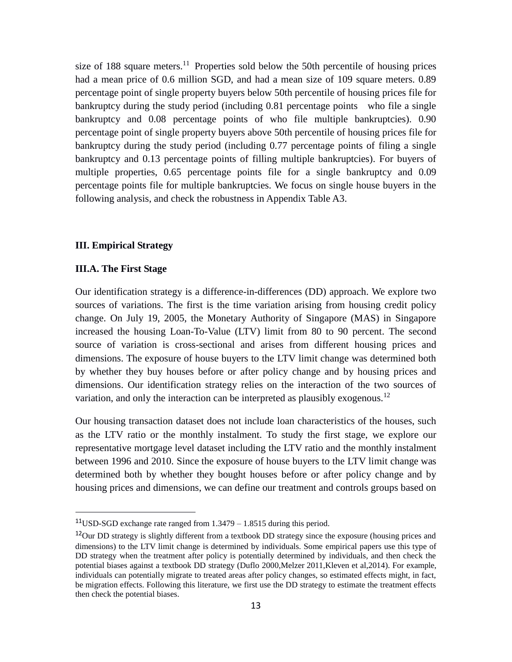size of 188 square meters.<sup>11</sup> Properties sold below the 50th percentile of housing prices had a mean price of 0.6 million SGD, and had a mean size of 109 square meters. 0.89 percentage point of single property buyers below 50th percentile of housing prices file for bankruptcy during the study period (including 0.81 percentage points who file a single bankruptcy and 0.08 percentage points of who file multiple bankruptcies). 0.90 percentage point of single property buyers above 50th percentile of housing prices file for bankruptcy during the study period (including 0.77 percentage points of filing a single bankruptcy and 0.13 percentage points of filling multiple bankruptcies). For buyers of multiple properties, 0.65 percentage points file for a single bankruptcy and 0.09 percentage points file for multiple bankruptcies. We focus on single house buyers in the following analysis, and check the robustness in Appendix Table A3.

## **III. Empirical Strategy**

#### **III.A. The First Stage**

 $\overline{a}$ 

Our identification strategy is a difference-in-differences (DD) approach. We explore two sources of variations. The first is the time variation arising from housing credit policy change. On July 19, 2005, the Monetary Authority of Singapore (MAS) in Singapore increased the housing Loan-To-Value (LTV) limit from 80 to 90 percent. The second source of variation is cross-sectional and arises from different housing prices and dimensions. The exposure of house buyers to the LTV limit change was determined both by whether they buy houses before or after policy change and by housing prices and dimensions. Our identification strategy relies on the interaction of the two sources of variation, and only the interaction can be interpreted as plausibly exogenous.<sup>12</sup>

Our housing transaction dataset does not include loan characteristics of the houses, such as the LTV ratio or the monthly instalment. To study the first stage, we explore our representative mortgage level dataset including the LTV ratio and the monthly instalment between 1996 and 2010. Since the exposure of house buyers to the LTV limit change was determined both by whether they bought houses before or after policy change and by housing prices and dimensions, we can define our treatment and controls groups based on

<sup>&</sup>lt;sup>11</sup>USD-SGD exchange rate ranged from  $1.3479 - 1.8515$  during this period.

<sup>&</sup>lt;sup>12</sup>Our DD strategy is slightly different from a textbook DD strategy since the exposure (housing prices and dimensions) to the LTV limit change is determined by individuals. Some empirical papers use this type of DD strategy when the treatment after policy is potentially determined by individuals, and then check the potential biases against a textbook DD strategy (Duflo 2000,Melzer 2011,Kleven et al,2014). For example, individuals can potentially migrate to treated areas after policy changes, so estimated effects might, in fact, be migration effects. Following this literature, we first use the DD strategy to estimate the treatment effects then check the potential biases.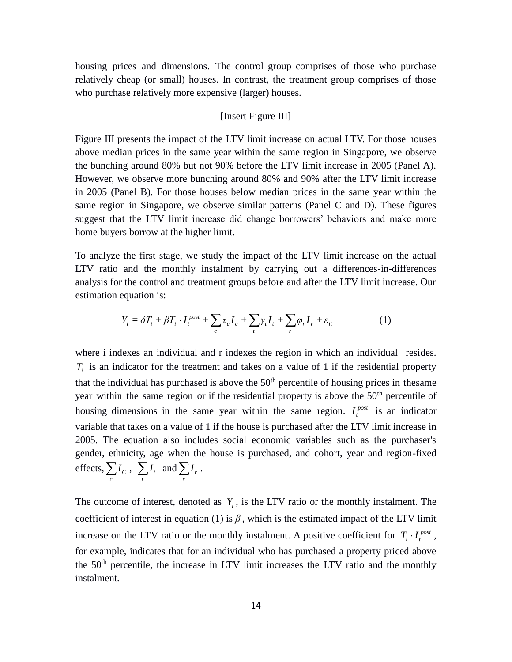housing prices and dimensions. The control group comprises of those who purchase relatively cheap (or small) houses. In contrast, the treatment group comprises of those who purchase relatively more expensive (larger) houses.

## [Insert Figure III]

Figure III presents the impact of the LTV limit increase on actual LTV. For those houses above median prices in the same year within the same region in Singapore, we observe the bunching around 80% but not 90% before the LTV limit increase in 2005 (Panel A). However, we observe more bunching around 80% and 90% after the LTV limit increase in 2005 (Panel B). For those houses below median prices in the same year within the same region in Singapore, we observe similar patterns (Panel C and D). These figures suggest that the LTV limit increase did change borrowers' behaviors and make more home buyers borrow at the higher limit.

To analyze the first stage, we study the impact of the LTV limit increase on the actual LTV ratio and the monthly instalment by carrying out a differences-in-differences analysis for the control and treatment groups before and after the LTV limit increase. Our estimation equation is:

$$
Y_i = \delta T_i + \beta T_i \cdot I_t^{post} + \sum_c \tau_c I_c + \sum_t \gamma_t I_t + \sum_r \varphi_r I_r + \varepsilon_{it} \tag{1}
$$

where i indexes an individual and r indexes the region in which an individual resides.  $T_i$  is an indicator for the treatment and takes on a value of 1 if the residential property that the individual has purchased is above the  $50<sup>th</sup>$  percentile of housing prices in thesame year within the same region or if the residential property is above the 50<sup>th</sup> percentile of housing dimensions in the same year within the same region.  $I_t^{post}$  is an indicator variable that takes on a value of 1 if the house is purchased after the LTV limit increase in 2005. The equation also includes social economic variables such as the purchaser's gender, ethnicity, age when the house is purchased, and cohort, year and region-fixed effects, *c*  $I_c\ ,\ \sum\limits_t$  $I_t$  and  $\sum_{r}$  $I_r$  .

The outcome of interest, denoted as  $Y_i$ , is the LTV ratio or the monthly instalment. The coefficient of interest in equation (1) is  $\beta$ , which is the estimated impact of the LTV limit increase on the LTV ratio or the monthly instalment. A positive coefficient for  $T_i \cdot I_t^{post}$ , for example, indicates that for an individual who has purchased a property priced above the 50<sup>th</sup> percentile, the increase in LTV limit increases the LTV ratio and the monthly instalment.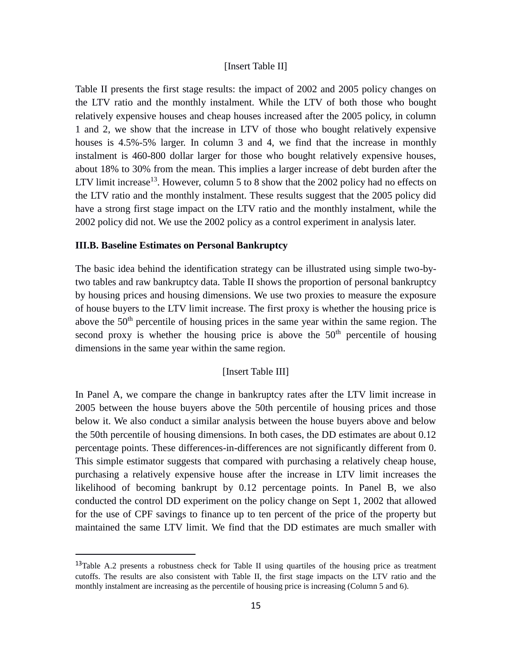## [Insert Table II]

Table II presents the first stage results: the impact of 2002 and 2005 policy changes on the LTV ratio and the monthly instalment. While the LTV of both those who bought relatively expensive houses and cheap houses increased after the 2005 policy, in column 1 and 2, we show that the increase in LTV of those who bought relatively expensive houses is 4.5%-5% larger. In column 3 and 4, we find that the increase in monthly instalment is 460-800 dollar larger for those who bought relatively expensive houses, about 18% to 30% from the mean. This implies a larger increase of debt burden after the LTV limit increase<sup>13</sup>. However, column 5 to 8 show that the 2002 policy had no effects on the LTV ratio and the monthly instalment. These results suggest that the 2005 policy did have a strong first stage impact on the LTV ratio and the monthly instalment, while the 2002 policy did not. We use the 2002 policy as a control experiment in analysis later.

## **III.B. Baseline Estimates on Personal Bankruptcy**

 $\overline{a}$ 

The basic idea behind the identification strategy can be illustrated using simple two-bytwo tables and raw bankruptcy data. Table II shows the proportion of personal bankruptcy by housing prices and housing dimensions. We use two proxies to measure the exposure of house buyers to the LTV limit increase. The first proxy is whether the housing price is above the  $50<sup>th</sup>$  percentile of housing prices in the same year within the same region. The second proxy is whether the housing price is above the  $50<sup>th</sup>$  percentile of housing dimensions in the same year within the same region.

## [Insert Table III]

In Panel A, we compare the change in bankruptcy rates after the LTV limit increase in 2005 between the house buyers above the 50th percentile of housing prices and those below it. We also conduct a similar analysis between the house buyers above and below the 50th percentile of housing dimensions. In both cases, the DD estimates are about 0.12 percentage points. These differences-in-differences are not significantly different from 0. This simple estimator suggests that compared with purchasing a relatively cheap house, purchasing a relatively expensive house after the increase in LTV limit increases the likelihood of becoming bankrupt by 0.12 percentage points. In Panel B, we also conducted the control DD experiment on the policy change on Sept 1, 2002 that allowed for the use of CPF savings to finance up to ten percent of the price of the property but maintained the same LTV limit. We find that the DD estimates are much smaller with

 $13$ Table A.2 presents a robustness check for Table II using quartiles of the housing price as treatment cutoffs. The results are also consistent with Table II, the first stage impacts on the LTV ratio and the monthly instalment are increasing as the percentile of housing price is increasing (Column 5 and 6).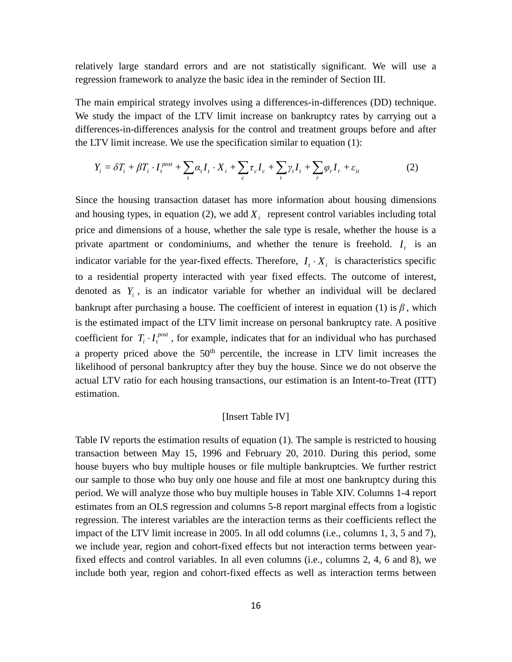relatively large standard errors and are not statistically significant. We will use a regression framework to analyze the basic idea in the reminder of Section III.

The main empirical strategy involves using a differences-in-differences (DD) technique. We study the impact of the LTV limit increase on bankruptcy rates by carrying out a differences-in-differences analysis for the control and treatment groups before and after the LTV limit increase. We use the specification similar to equation (1):

$$
Y_i = \delta T_i + \beta T_i \cdot I_t^{post} + \sum_t \alpha_t I_t \cdot X_i + \sum_c \tau_c I_c + \sum_t \gamma_t I_t + \sum_r \varphi_r I_r + \varepsilon_{it} \tag{2}
$$

Since the housing transaction dataset has more information about housing dimensions and housing types, in equation (2), we add  $X_i$  represent control variables including total price and dimensions of a house, whether the sale type is resale, whether the house is a private apartment or condominiums, and whether the tenure is freehold.  $I_t$  is an indicator variable for the year-fixed effects. Therefore,  $I_i \cdot X_i$  is characteristics specific to a residential property interacted with year fixed effects. The outcome of interest, denoted as  $Y_i$ , is an indicator variable for whether an individual will be declared bankrupt after purchasing a house. The coefficient of interest in equation (1) is  $\beta$ , which is the estimated impact of the LTV limit increase on personal bankruptcy rate. A positive coefficient for  $T_i \cdot I_t^{post}$ , for example, indicates that for an individual who has purchased a property priced above the  $50<sup>th</sup>$  percentile, the increase in LTV limit increases the likelihood of personal bankruptcy after they buy the house. Since we do not observe the actual LTV ratio for each housing transactions, our estimation is an Intent-to-Treat (ITT) estimation.

#### [Insert Table IV]

Table IV reports the estimation results of equation (1). The sample is restricted to housing transaction between May 15, 1996 and February 20, 2010. During this period, some house buyers who buy multiple houses or file multiple bankruptcies. We further restrict our sample to those who buy only one house and file at most one bankruptcy during this period. We will analyze those who buy multiple houses in Table XIV. Columns 1-4 report estimates from an OLS regression and columns 5-8 report marginal effects from a logistic regression. The interest variables are the interaction terms as their coefficients reflect the impact of the LTV limit increase in 2005. In all odd columns (i.e., columns 1, 3, 5 and 7), we include year, region and cohort-fixed effects but not interaction terms between yearfixed effects and control variables. In all even columns (i.e., columns 2, 4, 6 and 8), we include both year, region and cohort-fixed effects as well as interaction terms between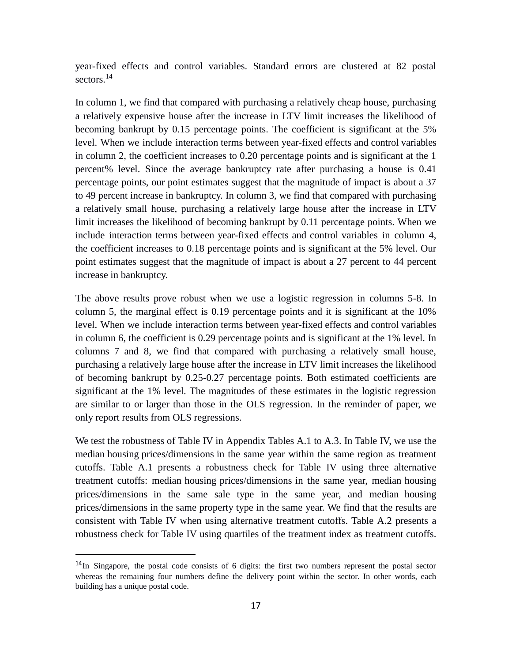year-fixed effects and control variables. Standard errors are clustered at 82 postal sectors.<sup>14</sup>

In column 1, we find that compared with purchasing a relatively cheap house, purchasing a relatively expensive house after the increase in LTV limit increases the likelihood of becoming bankrupt by 0.15 percentage points. The coefficient is significant at the 5% level. When we include interaction terms between year-fixed effects and control variables in column 2, the coefficient increases to 0.20 percentage points and is significant at the 1 percent% level. Since the average bankruptcy rate after purchasing a house is 0.41 percentage points, our point estimates suggest that the magnitude of impact is about a 37 to 49 percent increase in bankruptcy. In column 3, we find that compared with purchasing a relatively small house, purchasing a relatively large house after the increase in LTV limit increases the likelihood of becoming bankrupt by 0.11 percentage points. When we include interaction terms between year-fixed effects and control variables in column 4, the coefficient increases to 0.18 percentage points and is significant at the 5% level. Our point estimates suggest that the magnitude of impact is about a 27 percent to 44 percent increase in bankruptcy.

The above results prove robust when we use a logistic regression in columns 5-8. In column 5, the marginal effect is 0.19 percentage points and it is significant at the 10% level. When we include interaction terms between year-fixed effects and control variables in column 6, the coefficient is 0.29 percentage points and is significant at the 1% level. In columns 7 and 8, we find that compared with purchasing a relatively small house, purchasing a relatively large house after the increase in LTV limit increases the likelihood of becoming bankrupt by 0.25-0.27 percentage points. Both estimated coefficients are significant at the 1% level. The magnitudes of these estimates in the logistic regression are similar to or larger than those in the OLS regression. In the reminder of paper, we only report results from OLS regressions.

We test the robustness of Table IV in Appendix Tables A.1 to A.3. In Table IV, we use the median housing prices/dimensions in the same year within the same region as treatment cutoffs. Table A.1 presents a robustness check for Table IV using three alternative treatment cutoffs: median housing prices/dimensions in the same year, median housing prices/dimensions in the same sale type in the same year, and median housing prices/dimensions in the same property type in the same year. We find that the results are consistent with Table IV when using alternative treatment cutoffs. Table A.2 presents a robustness check for Table IV using quartiles of the treatment index as treatment cutoffs.

<sup>&</sup>lt;sup>14</sup>In Singapore, the postal code consists of 6 digits: the first two numbers represent the postal sector whereas the remaining four numbers define the delivery point within the sector. In other words, each building has a unique postal code.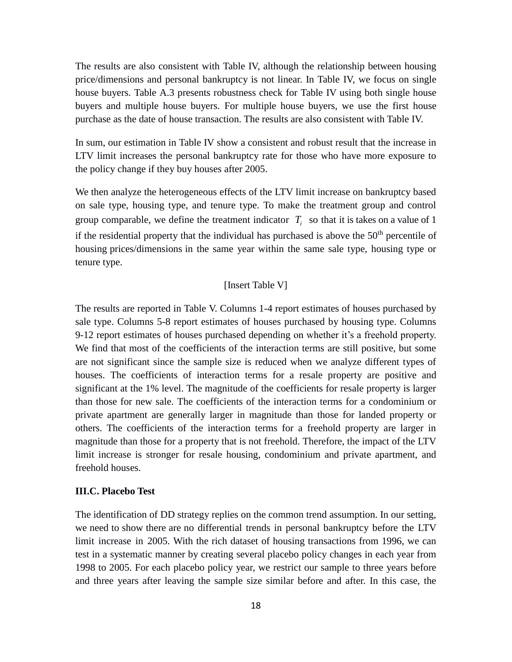The results are also consistent with Table IV, although the relationship between housing price/dimensions and personal bankruptcy is not linear. In Table IV, we focus on single house buyers. Table A.3 presents robustness check for Table IV using both single house buyers and multiple house buyers. For multiple house buyers, we use the first house purchase as the date of house transaction. The results are also consistent with Table IV.

In sum, our estimation in Table IV show a consistent and robust result that the increase in LTV limit increases the personal bankruptcy rate for those who have more exposure to the policy change if they buy houses after 2005.

We then analyze the heterogeneous effects of the LTV limit increase on bankruptcy based on sale type, housing type, and tenure type. To make the treatment group and control group comparable, we define the treatment indicator  $T_i$  so that it is takes on a value of 1 if the residential property that the individual has purchased is above the  $50<sup>th</sup>$  percentile of housing prices/dimensions in the same year within the same sale type, housing type or tenure type.

## [Insert Table V]

The results are reported in Table V. Columns 1-4 report estimates of houses purchased by sale type. Columns 5-8 report estimates of houses purchased by housing type. Columns 9-12 report estimates of houses purchased depending on whether it's a freehold property. We find that most of the coefficients of the interaction terms are still positive, but some are not significant since the sample size is reduced when we analyze different types of houses. The coefficients of interaction terms for a resale property are positive and significant at the 1% level. The magnitude of the coefficients for resale property is larger than those for new sale. The coefficients of the interaction terms for a condominium or private apartment are generally larger in magnitude than those for landed property or others. The coefficients of the interaction terms for a freehold property are larger in magnitude than those for a property that is not freehold. Therefore, the impact of the LTV limit increase is stronger for resale housing, condominium and private apartment, and freehold houses.

## **III.C. Placebo Test**

The identification of DD strategy replies on the common trend assumption. In our setting, we need to show there are no differential trends in personal bankruptcy before the LTV limit increase in 2005. With the rich dataset of housing transactions from 1996, we can test in a systematic manner by creating several placebo policy changes in each year from 1998 to 2005. For each placebo policy year, we restrict our sample to three years before and three years after leaving the sample size similar before and after. In this case, the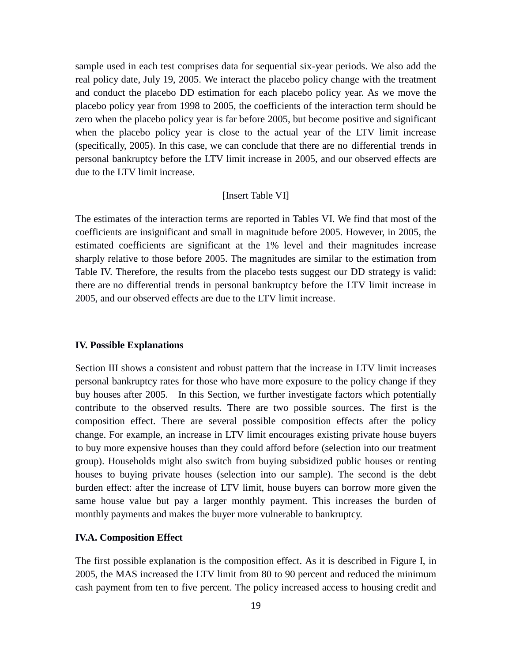sample used in each test comprises data for sequential six-year periods. We also add the real policy date, July 19, 2005. We interact the placebo policy change with the treatment and conduct the placebo DD estimation for each placebo policy year. As we move the placebo policy year from 1998 to 2005, the coefficients of the interaction term should be zero when the placebo policy year is far before 2005, but become positive and significant when the placebo policy year is close to the actual year of the LTV limit increase (specifically, 2005). In this case, we can conclude that there are no differential trends in personal bankruptcy before the LTV limit increase in 2005, and our observed effects are due to the LTV limit increase.

## [Insert Table VI]

The estimates of the interaction terms are reported in Tables VI. We find that most of the coefficients are insignificant and small in magnitude before 2005. However, in 2005, the estimated coefficients are significant at the 1% level and their magnitudes increase sharply relative to those before 2005. The magnitudes are similar to the estimation from Table IV. Therefore, the results from the placebo tests suggest our DD strategy is valid: there are no differential trends in personal bankruptcy before the LTV limit increase in 2005, and our observed effects are due to the LTV limit increase.

## **IV. Possible Explanations**

Section III shows a consistent and robust pattern that the increase in LTV limit increases personal bankruptcy rates for those who have more exposure to the policy change if they buy houses after 2005. In this Section, we further investigate factors which potentially contribute to the observed results. There are two possible sources. The first is the composition effect. There are several possible composition effects after the policy change. For example, an increase in LTV limit encourages existing private house buyers to buy more expensive houses than they could afford before (selection into our treatment group). Households might also switch from buying subsidized public houses or renting houses to buying private houses (selection into our sample). The second is the debt burden effect: after the increase of LTV limit, house buyers can borrow more given the same house value but pay a larger monthly payment. This increases the burden of monthly payments and makes the buyer more vulnerable to bankruptcy.

## **IV.A. Composition Effect**

The first possible explanation is the composition effect. As it is described in Figure I, in 2005, the MAS increased the LTV limit from 80 to 90 percent and reduced the minimum cash payment from ten to five percent. The policy increased access to housing credit and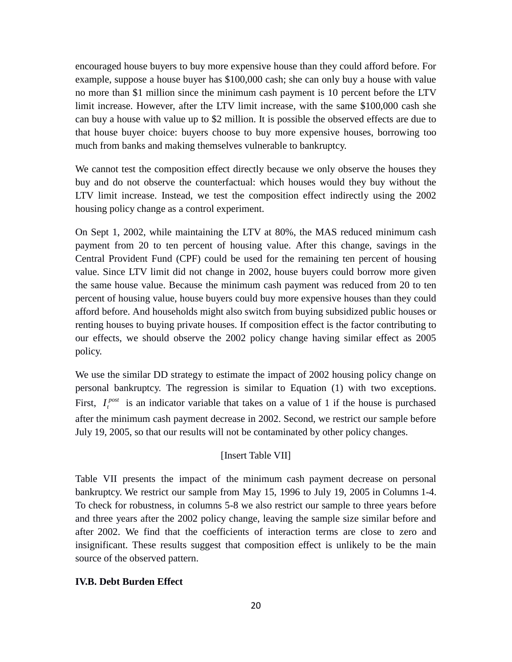encouraged house buyers to buy more expensive house than they could afford before. For example, suppose a house buyer has \$100,000 cash; she can only buy a house with value no more than \$1 million since the minimum cash payment is 10 percent before the LTV limit increase. However, after the LTV limit increase, with the same \$100,000 cash she can buy a house with value up to \$2 million. It is possible the observed effects are due to that house buyer choice: buyers choose to buy more expensive houses, borrowing too much from banks and making themselves vulnerable to bankruptcy.

We cannot test the composition effect directly because we only observe the houses they buy and do not observe the counterfactual: which houses would they buy without the LTV limit increase. Instead, we test the composition effect indirectly using the 2002 housing policy change as a control experiment.

On Sept 1, 2002, while maintaining the LTV at 80%, the MAS reduced minimum cash payment from 20 to ten percent of housing value. After this change, savings in the Central Provident Fund (CPF) could be used for the remaining ten percent of housing value. Since LTV limit did not change in 2002, house buyers could borrow more given the same house value. Because the minimum cash payment was reduced from 20 to ten percent of housing value, house buyers could buy more expensive houses than they could afford before. And households might also switch from buying subsidized public houses or renting houses to buying private houses. If composition effect is the factor contributing to our effects, we should observe the 2002 policy change having similar effect as 2005 policy.

We use the similar DD strategy to estimate the impact of 2002 housing policy change on personal bankruptcy. The regression is similar to Equation (1) with two exceptions. First,  $I_t^{post}$  is an indicator variable that takes on a value of 1 if the house is purchased after the minimum cash payment decrease in 2002. Second, we restrict our sample before July 19, 2005, so that our results will not be contaminated by other policy changes.

## [Insert Table VII]

Table VII presents the impact of the minimum cash payment decrease on personal bankruptcy. We restrict our sample from May 15, 1996 to July 19, 2005 in Columns 1-4. To check for robustness, in columns 5-8 we also restrict our sample to three years before and three years after the 2002 policy change, leaving the sample size similar before and after 2002. We find that the coefficients of interaction terms are close to zero and insignificant. These results suggest that composition effect is unlikely to be the main source of the observed pattern.

## **IV.B. Debt Burden Effect**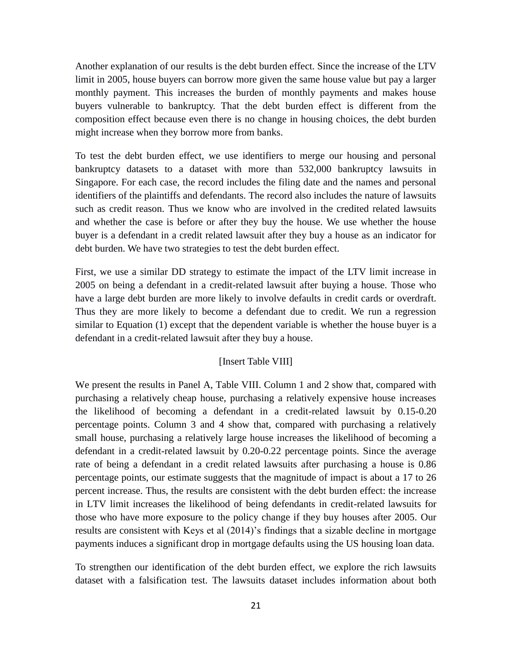Another explanation of our results is the debt burden effect. Since the increase of the LTV limit in 2005, house buyers can borrow more given the same house value but pay a larger monthly payment. This increases the burden of monthly payments and makes house buyers vulnerable to bankruptcy. That the debt burden effect is different from the composition effect because even there is no change in housing choices, the debt burden might increase when they borrow more from banks.

To test the debt burden effect, we use identifiers to merge our housing and personal bankruptcy datasets to a dataset with more than 532,000 bankruptcy lawsuits in Singapore. For each case, the record includes the filing date and the names and personal identifiers of the plaintiffs and defendants. The record also includes the nature of lawsuits such as credit reason. Thus we know who are involved in the credited related lawsuits and whether the case is before or after they buy the house. We use whether the house buyer is a defendant in a credit related lawsuit after they buy a house as an indicator for debt burden. We have two strategies to test the debt burden effect.

First, we use a similar DD strategy to estimate the impact of the LTV limit increase in 2005 on being a defendant in a credit-related lawsuit after buying a house. Those who have a large debt burden are more likely to involve defaults in credit cards or overdraft. Thus they are more likely to become a defendant due to credit. We run a regression similar to Equation (1) except that the dependent variable is whether the house buyer is a defendant in a credit-related lawsuit after they buy a house.

#### [Insert Table VIII]

We present the results in Panel A, Table VIII. Column 1 and 2 show that, compared with purchasing a relatively cheap house, purchasing a relatively expensive house increases the likelihood of becoming a defendant in a credit-related lawsuit by 0.15-0.20 percentage points. Column 3 and 4 show that, compared with purchasing a relatively small house, purchasing a relatively large house increases the likelihood of becoming a defendant in a credit-related lawsuit by 0.20-0.22 percentage points. Since the average rate of being a defendant in a credit related lawsuits after purchasing a house is 0.86 percentage points, our estimate suggests that the magnitude of impact is about a 17 to 26 percent increase. Thus, the results are consistent with the debt burden effect: the increase in LTV limit increases the likelihood of being defendants in credit-related lawsuits for those who have more exposure to the policy change if they buy houses after 2005. Our results are consistent with Keys et al (2014)'s findings that a sizable decline in mortgage payments induces a significant drop in mortgage defaults using the US housing loan data.

To strengthen our identification of the debt burden effect, we explore the rich lawsuits dataset with a falsification test. The lawsuits dataset includes information about both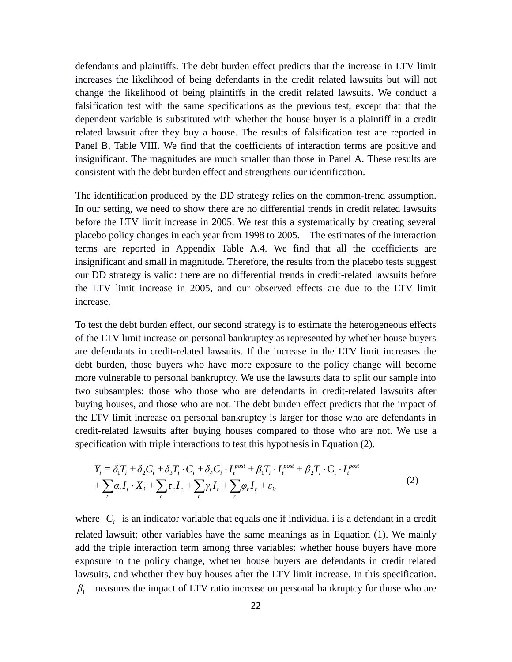defendants and plaintiffs. The debt burden effect predicts that the increase in LTV limit increases the likelihood of being defendants in the credit related lawsuits but will not change the likelihood of being plaintiffs in the credit related lawsuits. We conduct a falsification test with the same specifications as the previous test, except that that the dependent variable is substituted with whether the house buyer is a plaintiff in a credit related lawsuit after they buy a house. The results of falsification test are reported in Panel B, Table VIII. We find that the coefficients of interaction terms are positive and insignificant. The magnitudes are much smaller than those in Panel A. These results are consistent with the debt burden effect and strengthens our identification.

The identification produced by the DD strategy relies on the common-trend assumption. In our setting, we need to show there are no differential trends in credit related lawsuits before the LTV limit increase in 2005. We test this a systematically by creating several placebo policy changes in each year from 1998 to 2005. The estimates of the interaction terms are reported in Appendix Table A.4. We find that all the coefficients are insignificant and small in magnitude. Therefore, the results from the placebo tests suggest our DD strategy is valid: there are no differential trends in credit-related lawsuits before the LTV limit increase in 2005, and our observed effects are due to the LTV limit increase.

To test the debt burden effect, our second strategy is to estimate the heterogeneous effects of the LTV limit increase on personal bankruptcy as represented by whether house buyers are defendants in credit-related lawsuits. If the increase in the LTV limit increases the debt burden, those buyers who have more exposure to the policy change will become more vulnerable to personal bankruptcy. We use the lawsuits data to split our sample into two subsamples: those who those who are defendants in credit-related lawsuits after buying houses, and those who are not. The debt burden effect predicts that the impact of the LTV limit increase on personal bankruptcy is larger for those who are defendants in credit-related lawsuits after buying houses compared to those who are not. We use a specification with triple interactions to test this hypothesis in Equation (2).

$$
Y_i = \delta_1 T_i + \delta_2 C_i + \delta_3 T_i \cdot C_i + \delta_4 C_i \cdot I_t^{post} + \beta_1 T_i \cdot I_t^{post} + \beta_2 T_i \cdot C_i \cdot I_t^{post} + \sum_t \alpha_t I_t \cdot X_i + \sum_c \tau_c I_c + \sum_t \gamma_t I_t + \sum_r \varphi_r I_r + \varepsilon_{it}
$$
\n(2)

where  $C_i$  is an indicator variable that equals one if individual i is a defendant in a credit related lawsuit; other variables have the same meanings as in Equation (1). We mainly add the triple interaction term among three variables: whether house buyers have more exposure to the policy change, whether house buyers are defendants in credit related lawsuits, and whether they buy houses after the LTV limit increase. In this specification. *β*1 measures the impact of LTV ratio increase on personal bankruptcy for those who are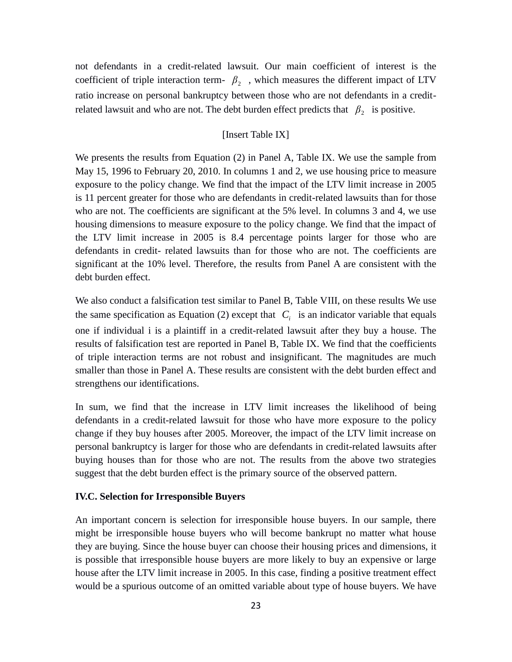not defendants in a credit-related lawsuit. Our main coefficient of interest is the coefficient of triple interaction term-  $\beta_2$ , which measures the different impact of LTV ratio increase on personal bankruptcy between those who are not defendants in a creditrelated lawsuit and who are not. The debt burden effect predicts that  $\beta_2$  is positive.

## [Insert Table IX]

We presents the results from Equation (2) in Panel A, Table IX. We use the sample from May 15, 1996 to February 20, 2010. In columns 1 and 2, we use housing price to measure exposure to the policy change. We find that the impact of the LTV limit increase in 2005 is 11 percent greater for those who are defendants in credit-related lawsuits than for those who are not. The coefficients are significant at the 5% level. In columns 3 and 4, we use housing dimensions to measure exposure to the policy change. We find that the impact of the LTV limit increase in 2005 is 8.4 percentage points larger for those who are defendants in credit- related lawsuits than for those who are not. The coefficients are significant at the 10% level. Therefore, the results from Panel A are consistent with the debt burden effect.

We also conduct a falsification test similar to Panel B, Table VIII, on these results We use the same specification as Equation (2) except that  $C_i$  is an indicator variable that equals one if individual i is a plaintiff in a credit-related lawsuit after they buy a house. The results of falsification test are reported in Panel B, Table IX. We find that the coefficients of triple interaction terms are not robust and insignificant. The magnitudes are much smaller than those in Panel A. These results are consistent with the debt burden effect and strengthens our identifications.

In sum, we find that the increase in LTV limit increases the likelihood of being defendants in a credit-related lawsuit for those who have more exposure to the policy change if they buy houses after 2005. Moreover, the impact of the LTV limit increase on personal bankruptcy is larger for those who are defendants in credit-related lawsuits after buying houses than for those who are not. The results from the above two strategies suggest that the debt burden effect is the primary source of the observed pattern.

## **IV.C. Selection for Irresponsible Buyers**

An important concern is selection for irresponsible house buyers. In our sample, there might be irresponsible house buyers who will become bankrupt no matter what house they are buying. Since the house buyer can choose their housing prices and dimensions, it is possible that irresponsible house buyers are more likely to buy an expensive or large house after the LTV limit increase in 2005. In this case, finding a positive treatment effect would be a spurious outcome of an omitted variable about type of house buyers. We have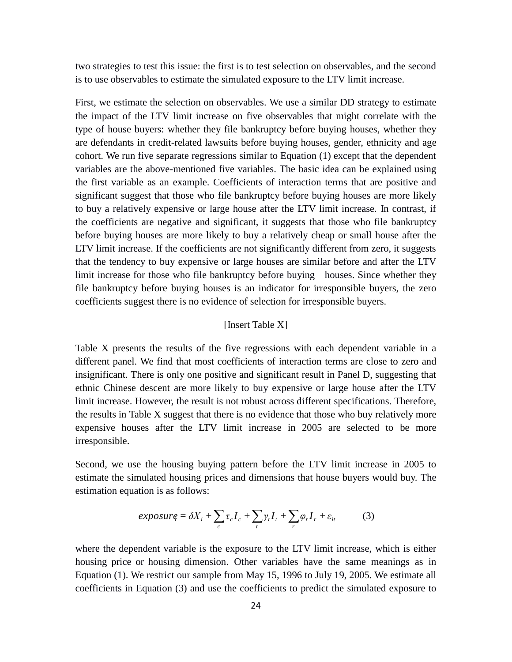two strategies to test this issue: the first is to test selection on observables, and the second is to use observables to estimate the simulated exposure to the LTV limit increase.

First, we estimate the selection on observables. We use a similar DD strategy to estimate the impact of the LTV limit increase on five observables that might correlate with the type of house buyers: whether they file bankruptcy before buying houses, whether they are defendants in credit-related lawsuits before buying houses, gender, ethnicity and age cohort. We run five separate regressions similar to Equation (1) except that the dependent variables are the above-mentioned five variables. The basic idea can be explained using the first variable as an example. Coefficients of interaction terms that are positive and significant suggest that those who file bankruptcy before buying houses are more likely to buy a relatively expensive or large house after the LTV limit increase. In contrast, if the coefficients are negative and significant, it suggests that those who file bankruptcy before buying houses are more likely to buy a relatively cheap or small house after the LTV limit increase. If the coefficients are not significantly different from zero, it suggests that the tendency to buy expensive or large houses are similar before and after the LTV limit increase for those who file bankruptcy before buying houses. Since whether they file bankruptcy before buying houses is an indicator for irresponsible buyers, the zero coefficients suggest there is no evidence of selection for irresponsible buyers.

#### [Insert Table X]

Table X presents the results of the five regressions with each dependent variable in a different panel. We find that most coefficients of interaction terms are close to zero and insignificant. There is only one positive and significant result in Panel D, suggesting that ethnic Chinese descent are more likely to buy expensive or large house after the LTV limit increase. However, the result is not robust across different specifications. Therefore, the results in Table X suggest that there is no evidence that those who buy relatively more expensive houses after the LTV limit increase in 2005 are selected to be more irresponsible.

Second, we use the housing buying pattern before the LTV limit increase in 2005 to estimate the simulated housing prices and dimensions that house buyers would buy. The estimation equation is as follows:

$$
exposure_i = \delta X_i + \sum_c \tau_c I_c + \sum_t \gamma_t I_t + \sum_r \varphi_r I_r + \varepsilon_{it} \tag{3}
$$

where the dependent variable is the exposure to the LTV limit increase, which is either housing price or housing dimension. Other variables have the same meanings as in Equation (1). We restrict our sample from May 15, 1996 to July 19, 2005. We estimate all coefficients in Equation (3) and use the coefficients to predict the simulated exposure to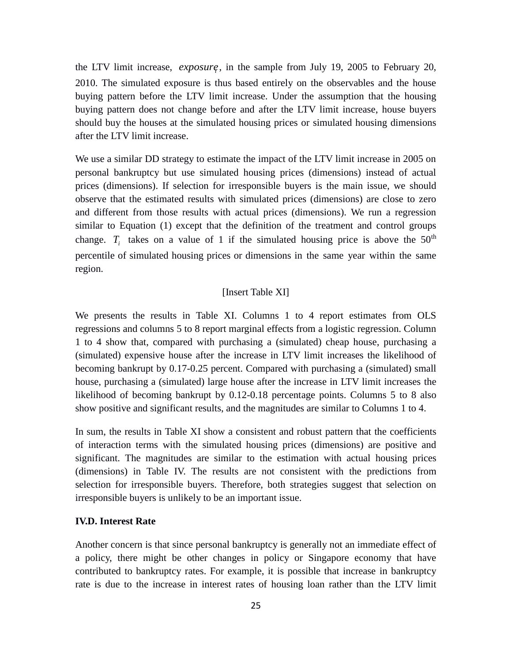the LTV limit increase, *exposure*, in the sample from July 19, 2005 to February 20, 2010. The simulated exposure is thus based entirely on the observables and the house buying pattern before the LTV limit increase. Under the assumption that the housing buying pattern does not change before and after the LTV limit increase, house buyers should buy the houses at the simulated housing prices or simulated housing dimensions after the LTV limit increase.

We use a similar DD strategy to estimate the impact of the LTV limit increase in 2005 on personal bankruptcy but use simulated housing prices (dimensions) instead of actual prices (dimensions). If selection for irresponsible buyers is the main issue, we should observe that the estimated results with simulated prices (dimensions) are close to zero and different from those results with actual prices (dimensions). We run a regression similar to Equation (1) except that the definition of the treatment and control groups change.  $T_i$  takes on a value of 1 if the simulated housing price is above the  $50<sup>th</sup>$ percentile of simulated housing prices or dimensions in the same year within the same region.

## [Insert Table XI]

We presents the results in Table XI. Columns 1 to 4 report estimates from OLS regressions and columns 5 to 8 report marginal effects from a logistic regression. Column 1 to 4 show that, compared with purchasing a (simulated) cheap house, purchasing a (simulated) expensive house after the increase in LTV limit increases the likelihood of becoming bankrupt by 0.17-0.25 percent. Compared with purchasing a (simulated) small house, purchasing a (simulated) large house after the increase in LTV limit increases the likelihood of becoming bankrupt by 0.12-0.18 percentage points. Columns 5 to 8 also show positive and significant results, and the magnitudes are similar to Columns 1 to 4.

In sum, the results in Table XI show a consistent and robust pattern that the coefficients of interaction terms with the simulated housing prices (dimensions) are positive and significant. The magnitudes are similar to the estimation with actual housing prices (dimensions) in Table IV. The results are not consistent with the predictions from selection for irresponsible buyers. Therefore, both strategies suggest that selection on irresponsible buyers is unlikely to be an important issue.

## **IV.D. Interest Rate**

Another concern is that since personal bankruptcy is generally not an immediate effect of a policy, there might be other changes in policy or Singapore economy that have contributed to bankruptcy rates. For example, it is possible that increase in bankruptcy rate is due to the increase in interest rates of housing loan rather than the LTV limit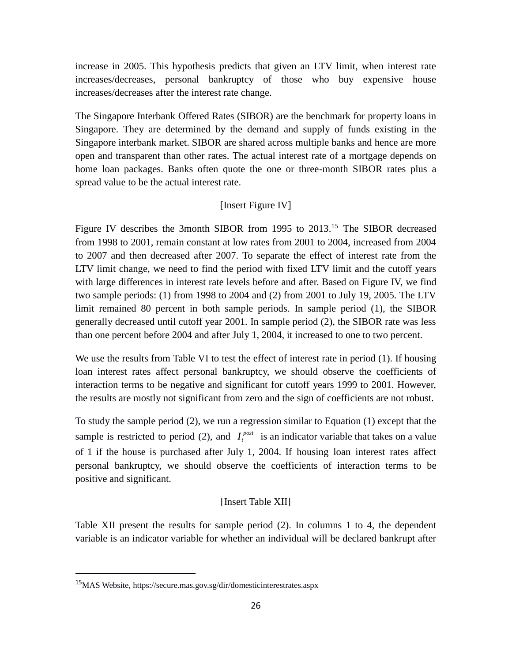increase in 2005. This hypothesis predicts that given an LTV limit, when interest rate increases/decreases, personal bankruptcy of those who buy expensive house increases/decreases after the interest rate change.

The Singapore Interbank Offered Rates (SIBOR) are the benchmark for property loans in Singapore. They are determined by the demand and supply of funds existing in the Singapore interbank market. SIBOR are shared across multiple banks and hence are more open and transparent than other rates. The actual interest rate of a mortgage depends on home loan packages. Banks often quote the one or three-month SIBOR rates plus a spread value to be the actual interest rate.

## [Insert Figure IV]

Figure IV describes the 3month SIBOR from 1995 to 2013.<sup>15</sup> The SIBOR decreased from 1998 to 2001, remain constant at low rates from 2001 to 2004, increased from 2004 to 2007 and then decreased after 2007. To separate the effect of interest rate from the LTV limit change, we need to find the period with fixed LTV limit and the cutoff years with large differences in interest rate levels before and after. Based on Figure IV, we find two sample periods: (1) from 1998 to 2004 and (2) from 2001 to July 19, 2005. The LTV limit remained 80 percent in both sample periods. In sample period (1), the SIBOR generally decreased until cutoff year 2001. In sample period (2), the SIBOR rate was less than one percent before 2004 and after July 1, 2004, it increased to one to two percent.

We use the results from Table VI to test the effect of interest rate in period (1). If housing loan interest rates affect personal bankruptcy, we should observe the coefficients of interaction terms to be negative and significant for cutoff years 1999 to 2001. However, the results are mostly not significant from zero and the sign of coefficients are not robust.

To study the sample period (2), we run a regression similar to Equation (1) except that the sample is restricted to period (2), and  $I_t^{post}$  is an indicator variable that takes on a value of 1 if the house is purchased after July 1, 2004. If housing loan interest rates affect personal bankruptcy, we should observe the coefficients of interaction terms to be positive and significant.

## [Insert Table XII]

Table XII present the results for sample period (2). In columns 1 to 4, the dependent variable is an indicator variable for whether an individual will be declared bankrupt after

<sup>15</sup>MAS Website, https://secure.mas.gov.sg/dir/domesticinterestrates.aspx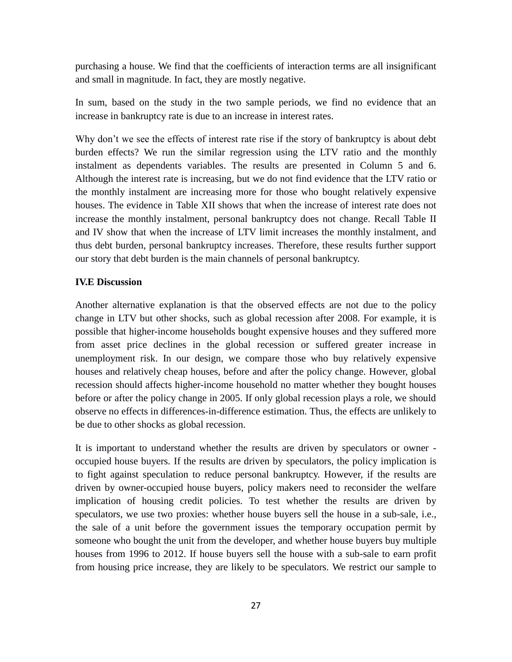purchasing a house. We find that the coefficients of interaction terms are all insignificant and small in magnitude. In fact, they are mostly negative.

In sum, based on the study in the two sample periods, we find no evidence that an increase in bankruptcy rate is due to an increase in interest rates.

Why don't we see the effects of interest rate rise if the story of bankruptcy is about debt burden effects? We run the similar regression using the LTV ratio and the monthly instalment as dependents variables. The results are presented in Column 5 and 6. Although the interest rate is increasing, but we do not find evidence that the LTV ratio or the monthly instalment are increasing more for those who bought relatively expensive houses. The evidence in Table XII shows that when the increase of interest rate does not increase the monthly instalment, personal bankruptcy does not change. Recall Table II and IV show that when the increase of LTV limit increases the monthly instalment, and thus debt burden, personal bankruptcy increases. Therefore, these results further support our story that debt burden is the main channels of personal bankruptcy.

## **IV.E Discussion**

Another alternative explanation is that the observed effects are not due to the policy change in LTV but other shocks, such as global recession after 2008. For example, it is possible that higher-income households bought expensive houses and they suffered more from asset price declines in the global recession or suffered greater increase in unemployment risk. In our design, we compare those who buy relatively expensive houses and relatively cheap houses, before and after the policy change. However, global recession should affects higher-income household no matter whether they bought houses before or after the policy change in 2005. If only global recession plays a role, we should observe no effects in differences-in-difference estimation. Thus, the effects are unlikely to be due to other shocks as global recession.

It is important to understand whether the results are driven by speculators or owner occupied house buyers. If the results are driven by speculators, the policy implication is to fight against speculation to reduce personal bankruptcy. However, if the results are driven by owner-occupied house buyers, policy makers need to reconsider the welfare implication of housing credit policies. To test whether the results are driven by speculators, we use two proxies: whether house buyers sell the house in a sub-sale, i.e., the sale of a unit before the government issues the temporary occupation permit by someone who bought the unit from the developer, and whether house buyers buy multiple houses from 1996 to 2012. If house buyers sell the house with a sub-sale to earn profit from housing price increase, they are likely to be speculators. We restrict our sample to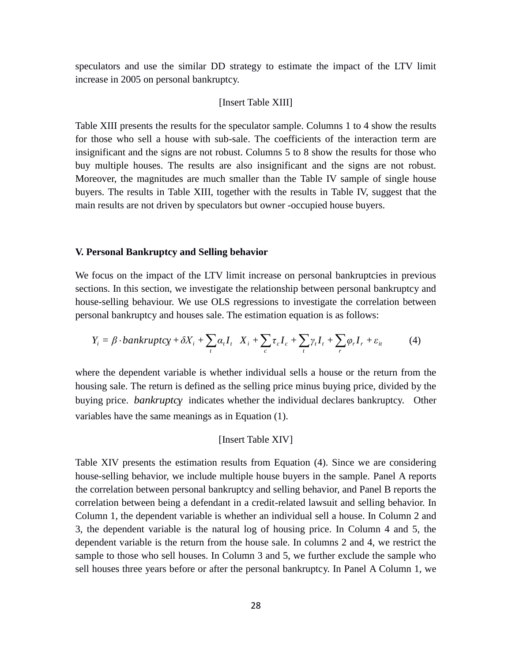speculators and use the similar DD strategy to estimate the impact of the LTV limit increase in 2005 on personal bankruptcy.

## [Insert Table XIII]

Table XIII presents the results for the speculator sample. Columns 1 to 4 show the results for those who sell a house with sub-sale. The coefficients of the interaction term are insignificant and the signs are not robust. Columns 5 to 8 show the results for those who buy multiple houses. The results are also insignificant and the signs are not robust. Moreover, the magnitudes are much smaller than the Table IV sample of single house buyers. The results in Table XIII, together with the results in Table IV, suggest that the main results are not driven by speculators but owner -occupied house buyers.

## **V. Personal Bankruptcy and Selling behavior**

We focus on the impact of the LTV limit increase on personal bankruptcies in previous sections. In this section, we investigate the relationship between personal bankruptcy and house-selling behaviour. We use OLS regressions to investigate the correlation between personal bankruptcy and houses sale. The estimation equation is as follows:

$$
Y_i = \beta \cdot \text{bankruptcy} + \delta X_i + \sum_t \alpha_t I_t \quad X_i + \sum_c \tau_c I_c + \sum_t \gamma_t I_t + \sum_r \varphi_r I_r + \varepsilon_{it} \tag{4}
$$

where the dependent variable is whether individual sells a house or the return from the housing sale. The return is defined as the selling price minus buying price, divided by the buying price. *bankruptcy* indicates whether the individual declares bankruptcy. Other variables have the same meanings as in Equation (1).

#### [Insert Table XIV]

Table XIV presents the estimation results from Equation (4). Since we are considering house-selling behavior, we include multiple house buyers in the sample. Panel A reports the correlation between personal bankruptcy and selling behavior, and Panel B reports the correlation between being a defendant in a credit-related lawsuit and selling behavior. In Column 1, the dependent variable is whether an individual sell a house. In Column 2 and 3, the dependent variable is the natural log of housing price. In Column 4 and 5, the dependent variable is the return from the house sale. In columns 2 and 4, we restrict the sample to those who sell houses. In Column 3 and 5, we further exclude the sample who sell houses three years before or after the personal bankruptcy. In Panel A Column 1, we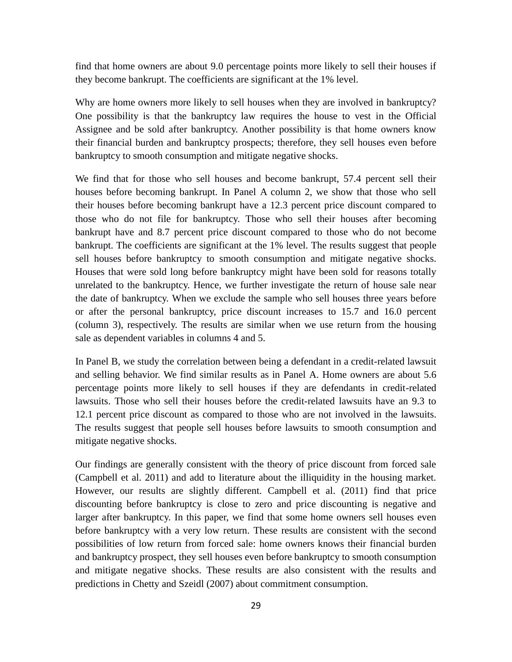find that home owners are about 9.0 percentage points more likely to sell their houses if they become bankrupt. The coefficients are significant at the 1% level.

Why are home owners more likely to sell houses when they are involved in bankruptcy? One possibility is that the bankruptcy law requires the house to vest in the Official Assignee and be sold after bankruptcy. Another possibility is that home owners know their financial burden and bankruptcy prospects; therefore, they sell houses even before bankruptcy to smooth consumption and mitigate negative shocks.

We find that for those who sell houses and become bankrupt, 57.4 percent sell their houses before becoming bankrupt. In Panel A column 2, we show that those who sell their houses before becoming bankrupt have a 12.3 percent price discount compared to those who do not file for bankruptcy. Those who sell their houses after becoming bankrupt have and 8.7 percent price discount compared to those who do not become bankrupt. The coefficients are significant at the 1% level. The results suggest that people sell houses before bankruptcy to smooth consumption and mitigate negative shocks. Houses that were sold long before bankruptcy might have been sold for reasons totally unrelated to the bankruptcy. Hence, we further investigate the return of house sale near the date of bankruptcy. When we exclude the sample who sell houses three years before or after the personal bankruptcy, price discount increases to 15.7 and 16.0 percent (column 3), respectively. The results are similar when we use return from the housing sale as dependent variables in columns 4 and 5.

In Panel B, we study the correlation between being a defendant in a credit-related lawsuit and selling behavior. We find similar results as in Panel A. Home owners are about 5.6 percentage points more likely to sell houses if they are defendants in credit-related lawsuits. Those who sell their houses before the credit-related lawsuits have an 9.3 to 12.1 percent price discount as compared to those who are not involved in the lawsuits. The results suggest that people sell houses before lawsuits to smooth consumption and mitigate negative shocks.

Our findings are generally consistent with the theory of price discount from forced sale (Campbell et al. 2011) and add to literature about the illiquidity in the housing market. However, our results are slightly different. Campbell et al. (2011) find that price discounting before bankruptcy is close to zero and price discounting is negative and larger after bankruptcy. In this paper, we find that some home owners sell houses even before bankruptcy with a very low return. These results are consistent with the second possibilities of low return from forced sale: home owners knows their financial burden and bankruptcy prospect, they sell houses even before bankruptcy to smooth consumption and mitigate negative shocks. These results are also consistent with the results and predictions in Chetty and Szeidl (2007) about commitment consumption.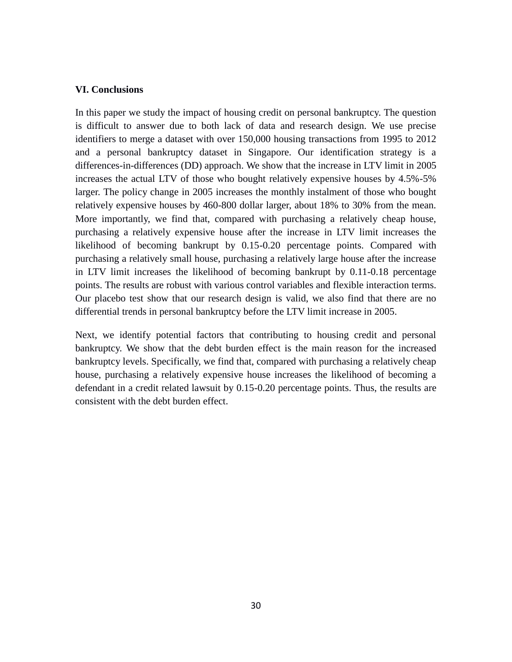## **VI. Conclusions**

In this paper we study the impact of housing credit on personal bankruptcy. The question is difficult to answer due to both lack of data and research design. We use precise identifiers to merge a dataset with over 150,000 housing transactions from 1995 to 2012 and a personal bankruptcy dataset in Singapore. Our identification strategy is a differences-in-differences (DD) approach. We show that the increase in LTV limit in 2005 increases the actual LTV of those who bought relatively expensive houses by 4.5%-5% larger. The policy change in 2005 increases the monthly instalment of those who bought relatively expensive houses by 460-800 dollar larger, about 18% to 30% from the mean. More importantly, we find that, compared with purchasing a relatively cheap house, purchasing a relatively expensive house after the increase in LTV limit increases the likelihood of becoming bankrupt by 0.15-0.20 percentage points. Compared with purchasing a relatively small house, purchasing a relatively large house after the increase in LTV limit increases the likelihood of becoming bankrupt by 0.11-0.18 percentage points. The results are robust with various control variables and flexible interaction terms. Our placebo test show that our research design is valid, we also find that there are no differential trends in personal bankruptcy before the LTV limit increase in 2005.

Next, we identify potential factors that contributing to housing credit and personal bankruptcy. We show that the debt burden effect is the main reason for the increased bankruptcy levels. Specifically, we find that, compared with purchasing a relatively cheap house, purchasing a relatively expensive house increases the likelihood of becoming a defendant in a credit related lawsuit by 0.15-0.20 percentage points. Thus, the results are consistent with the debt burden effect.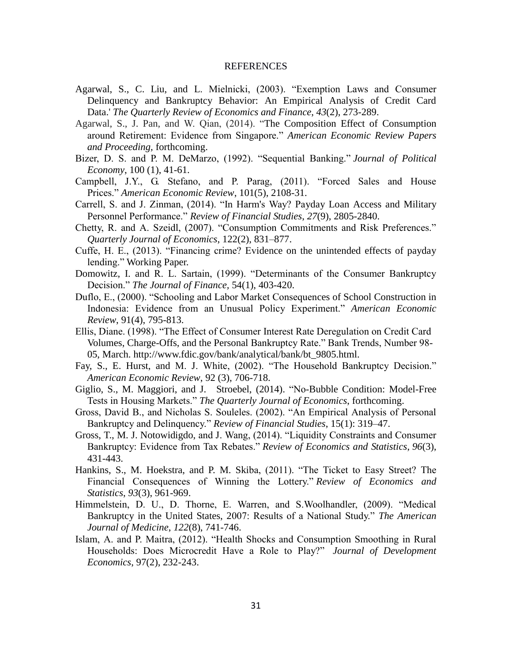#### REFERENCES

- Agarwal, S., C. Liu, and L. Mielnicki, (2003). "Exemption Laws and Consumer Delinquency and Bankruptcy Behavior: An Empirical Analysis of Credit Card Data.' *The Quarterly Review of Economics and Finance*, *43*(2), 273-289.
- Agarwal, S., J. Pan, and W. Qian, (2014). "The Composition Effect of Consumption around Retirement: Evidence from Singapore." *American Economic Review Papers and Proceeding,* forthcoming.
- Bizer, D. S. and P. M. DeMarzo, (1992). "Sequential Banking." *Journal of Political Economy*, 100 (1), 41-61.
- Campbell, J.Y., G. Stefano, and P. Parag, (2011). "Forced Sales and House Prices." *American Economic Review*, 101(5), 2108-31.
- Carrell, S. and J. Zinman, (2014). "In Harm's Way? Payday Loan Access and Military Personnel Performance." *Review of Financial Studies*, *27*(9), 2805-2840.
- Chetty, R. and A. Szeidl, (2007). "Consumption Commitments and Risk Preferences." *Quarterly Journal of Economics*, 122(2), 831–877.
- Cuffe, H. E., (2013). "Financing crime? Evidence on the unintended effects of payday lending." Working Paper.
- Domowitz, I. and R. L. Sartain, (1999). "Determinants of the Consumer Bankruptcy Decision." *The Journal of Finance,* 54(1), 403-420.
- Duflo, E., (2000). "Schooling and Labor Market Consequences of School Construction in Indonesia: Evidence from an Unusual Policy Experiment." *American Economic Review*, 91(4), 795-813.
- Ellis, Diane. (1998). "The Effect of Consumer Interest Rate Deregulation on Credit Card Volumes, Charge-Offs, and the Personal Bankruptcy Rate." Bank Trends, Number 98- 05, March. http://www.fdic.gov/bank/analytical/bank/bt\_9805.html.
- Fay, S., E. Hurst, and M. J. White, (2002). "The Household Bankruptcy Decision." *American Economic Review*, 92 (3), 706-718.
- Giglio, S., M. Maggiori, and J. Stroebel, (2014). "No-Bubble Condition: Model-Free Tests in Housing Markets." *The Quarterly Journal of Economics*, forthcoming.
- Gross, David B., and Nicholas S. Souleles. (2002). "An Empirical Analysis of Personal Bankruptcy and Delinquency." *Review of Financial Studies*, 15(1): 319–47.
- Gross, T., M. J. Notowidigdo, and J. Wang, (2014). "Liquidity Constraints and Consumer Bankruptcy: Evidence from Tax Rebates." *Review of Economics and Statistics*, *96*(3), 431-443.
- Hankins, S., M. Hoekstra, and P. M. Skiba, (2011). "The Ticket to Easy Street? The Financial Consequences of Winning the Lottery." *Review of Economics and Statistics*, *93*(3), 961-969.
- Himmelstein, D. U., D. Thorne, E. Warren, and S.Woolhandler, (2009). "Medical Bankruptcy in the United States, 2007: Results of a National Study." *The American Journal of Medicine*, *122*(8), 741-746.
- Islam, A. and P. Maitra, (2012). "Health Shocks and Consumption Smoothing in Rural Households: Does Microcredit Have a Role to Play?" *Journal of Development Economics*, 97(2), 232-243.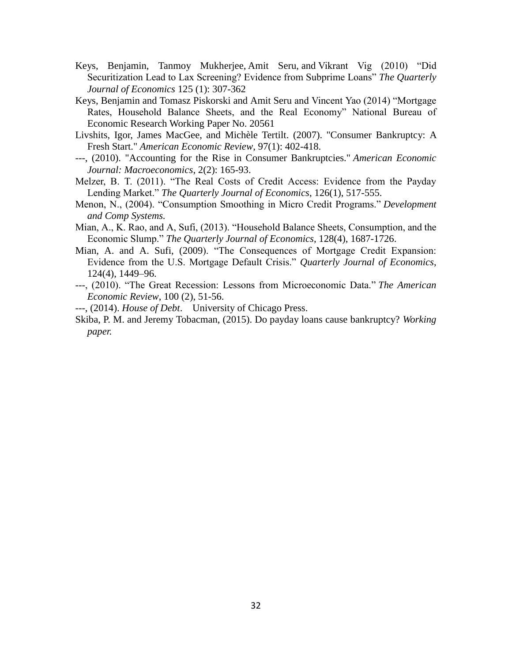- Keys, Benjamin, Tanmoy Mukherjee, Amit Seru, and Vikrant Vig (2010) "Did Securitization Lead to Lax Screening? Evidence from Subprime Loans" *The Quarterly Journal of Economics* 125 (1): 307-362
- Keys, Benjamin and Tomasz Piskorski and Amit Seru and Vincent Yao (2014) "Mortgage Rates, Household Balance Sheets, and the Real Economy" National Bureau of Economic Research Working Paper No. 20561
- Livshits, Igor, James MacGee, and Michèle Tertilt. (2007). "Consumer Bankruptcy: A Fresh Start." *American Economic Review*, 97(1): 402-418.
- ---, (2010). "Accounting for the Rise in Consumer Bankruptcies." *American Economic Journal: Macroeconomics*, 2(2): 165-93.
- Melzer, B. T. (2011). "The Real Costs of Credit Access: Evidence from the Payday Lending Market." *The Quarterly Journal of Economics*, 126(1), 517-555.
- Menon, N., (2004). "Consumption Smoothing in Micro Credit Programs." *Development and Comp Systems.*
- Mian, A., K. Rao, and A, Sufi, (2013). "Household Balance Sheets, Consumption, and the Economic Slump." *The Quarterly Journal of Economics*, 128(4), 1687-1726.
- Mian, A. and A. Sufi, (2009). "The Consequences of Mortgage Credit Expansion: Evidence from the U.S. Mortgage Default Crisis." *Quarterly Journal of Economics*, 124(4), 1449–96.
- ---, (2010). "The Great Recession: Lessons from Microeconomic Data." *The American Economic Review*, 100 (2), 51-56.
- ---, (2014). *House of Debt*. University of Chicago Press.
- Skiba, P. M. and Jeremy Tobacman, (2015). Do payday loans cause bankruptcy? *Working paper.*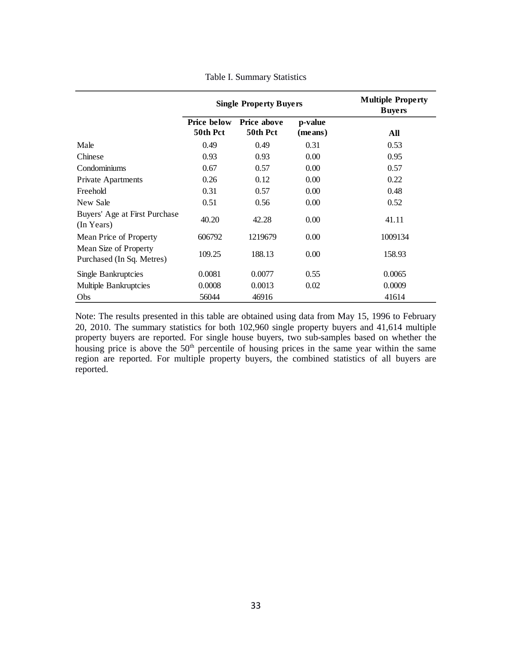|                                                    |                                | <b>Single Property Buyers</b>  |                    | <b>Multiple Property</b><br><b>B</b> uyers |
|----------------------------------------------------|--------------------------------|--------------------------------|--------------------|--------------------------------------------|
|                                                    | <b>Price below</b><br>50th Pct | <b>Price above</b><br>50th Pct | p-value<br>(means) | All                                        |
| Male                                               | 0.49                           | 0.49                           | 0.31               | 0.53                                       |
| Chinese                                            | 0.93                           | 0.93                           | 0.00               | 0.95                                       |
| Condominiums                                       | 0.67                           | 0.57                           | 0.00               | 0.57                                       |
| <b>Private Apartments</b>                          | 0.26                           | 0.12                           | 0.00               | 0.22                                       |
| Freehold                                           | 0.31                           | 0.57                           | 0.00               | 0.48                                       |
| New Sale                                           | 0.51                           | 0.56                           | 0.00               | 0.52                                       |
| Buyers' Age at First Purchase<br>(In Years)        | 40.20                          | 42.28                          | 0.00               | 41.11                                      |
| Mean Price of Property                             | 606792                         | 1219679                        | 0.00               | 1009134                                    |
| Mean Size of Property<br>Purchased (In Sq. Metres) | 109.25                         | 188.13                         | 0.00               | 158.93                                     |
| Single Bankruptcies                                | 0.0081                         | 0.0077                         | 0.55               | 0.0065                                     |
| Multiple Bankruptcies                              | 0.0008                         | 0.0013                         | 0.02               | 0.0009                                     |
| Obs                                                | 56044                          | 46916                          |                    | 41614                                      |

Table I. Summary Statistics

Note: The results presented in this table are obtained using data from May 15, 1996 to February 20, 2010. The summary statistics for both 102,960 single property buyers and 41,614 multiple property buyers are reported. For single house buyers, two sub-samples based on whether the housing price is above the 50<sup>th</sup> percentile of housing prices in the same year within the same region are reported. For multiple property buyers, the combined statistics of all buyers are reported.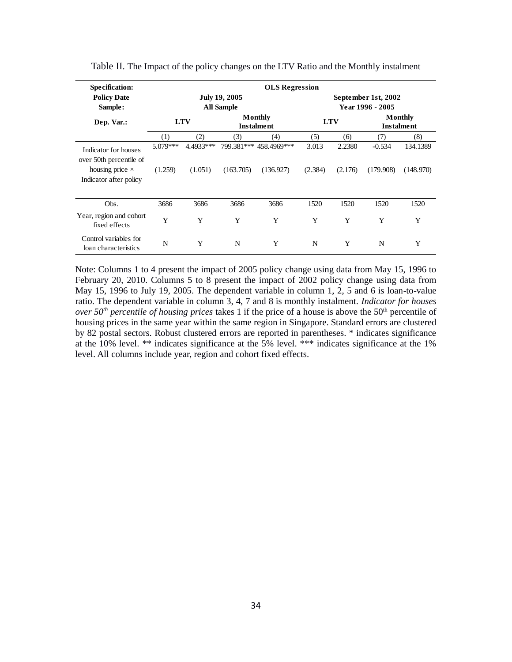| Specification:                                   | <b>OLS</b> Regression |            |                                           |                              |                                         |         |                              |           |  |  |
|--------------------------------------------------|-----------------------|------------|-------------------------------------------|------------------------------|-----------------------------------------|---------|------------------------------|-----------|--|--|
| <b>Policy Date</b><br>Sample:                    |                       |            | <b>July 19, 2005</b><br><b>All Sample</b> |                              | September 1st, 2002<br>Year 1996 - 2005 |         |                              |           |  |  |
| Dep. Var.:                                       |                       | <b>LTV</b> |                                           | Monthly<br><b>Instalment</b> | <b>LTV</b>                              |         | Monthly<br><b>Instalment</b> |           |  |  |
|                                                  | (1)                   | (2)        | (3)                                       | (4)                          | (5)                                     | (6)     | (7)                          | (8)       |  |  |
| Indicator for houses<br>over 50th percentile of  | $5.079***$            | 4.4933***  |                                           | 799.381*** 458.4969***       | 3.013                                   | 2.2380  | $-0.534$                     | 134.1389  |  |  |
| housing price $\times$<br>Indicator after policy | (1.259)               | (1.051)    | (163.705)                                 | (136.927)                    | (2.384)                                 | (2.176) | (179.908)                    | (148.970) |  |  |
| Obs.                                             | 3686                  | 3686       | 3686                                      | 3686                         | 1520                                    | 1520    | 1520                         | 1520      |  |  |
| Year, region and cohort<br>fixed effects         | Y                     | Y          | Y                                         | Y                            | Y                                       | Y       | Y                            | Y         |  |  |
| Control variables for<br>loan characteristics    | N                     | Y          | N                                         | Y                            | N                                       | Y       | N                            | Y         |  |  |

Table II. The Impact of the policy changes on the LTV Ratio and the Monthly instalment

Note: Columns 1 to 4 present the impact of 2005 policy change using data from May 15, 1996 to February 20, 2010. Columns 5 to 8 present the impact of 2002 policy change using data from May 15, 1996 to July 19, 2005. The dependent variable in column 1, 2, 5 and 6 is loan-to-value ratio. The dependent variable in column 3, 4, 7 and 8 is monthly instalment. *Indicator for houses over 50<sup>th</sup> percentile of housing prices* takes 1 if the price of a house is above the 50<sup>th</sup> percentile of housing prices in the same year within the same region in Singapore. Standard errors are clustered by 82 postal sectors. Robust clustered errors are reported in parentheses. \* indicates significance at the 10% level. \*\* indicates significance at the 5% level. \*\*\* indicates significance at the 1% level. All columns include year, region and cohort fixed effects.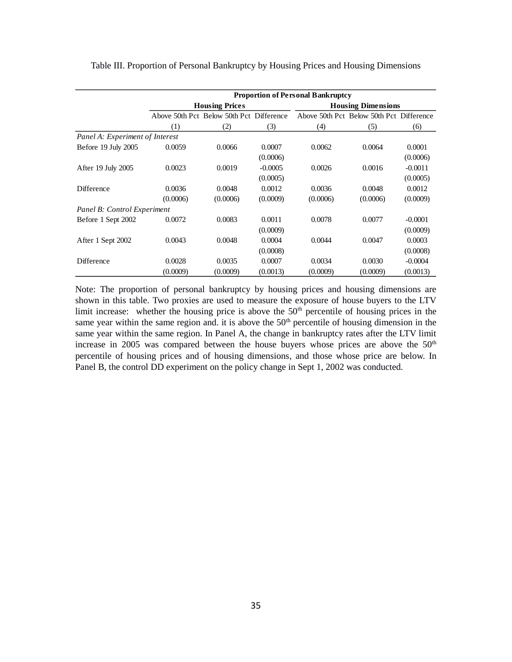|                                 | <b>Proportion of Personal Bankruptcy</b> |                                          |           |                                          |                           |           |  |  |  |  |  |
|---------------------------------|------------------------------------------|------------------------------------------|-----------|------------------------------------------|---------------------------|-----------|--|--|--|--|--|
|                                 |                                          | <b>Housing Prices</b>                    |           |                                          | <b>Housing Dimensions</b> |           |  |  |  |  |  |
|                                 |                                          | Above 50th Pct Below 50th Pct Difference |           | Above 50th Pct Below 50th Pct Difference |                           |           |  |  |  |  |  |
|                                 | (1)                                      | (2)                                      | (3)       | (4)                                      | (5)                       | (6)       |  |  |  |  |  |
| Panel A: Experiment of Interest |                                          |                                          |           |                                          |                           |           |  |  |  |  |  |
| Before 19 July 2005             | 0.0059                                   | 0.0066                                   | 0.0007    | 0.0062                                   | 0.0064                    | 0.0001    |  |  |  |  |  |
|                                 |                                          |                                          | (0.0006)  |                                          |                           | (0.0006)  |  |  |  |  |  |
| After 19 July 2005              | 0.0023                                   | 0.0019                                   | $-0.0005$ | 0.0026                                   | 0.0016                    | $-0.0011$ |  |  |  |  |  |
|                                 |                                          |                                          | (0.0005)  |                                          |                           | (0.0005)  |  |  |  |  |  |
| <b>Difference</b>               | 0.0036                                   | 0.0048                                   | 0.0012    | 0.0036                                   | 0.0048                    | 0.0012    |  |  |  |  |  |
|                                 | (0.0006)                                 | (0.0006)                                 | (0.0009)  | (0.0006)                                 | (0.0006)                  | (0.0009)  |  |  |  |  |  |
| Panel B: Control Experiment     |                                          |                                          |           |                                          |                           |           |  |  |  |  |  |
| Before 1 Sept 2002              | 0.0072                                   | 0.0083                                   | 0.0011    | 0.0078                                   | 0.0077                    | $-0.0001$ |  |  |  |  |  |
|                                 |                                          |                                          | (0.0009)  |                                          |                           | (0.0009)  |  |  |  |  |  |
| After 1 Sept 2002               | 0.0043                                   | 0.0048                                   | 0.0004    | 0.0044                                   | 0.0047                    | 0.0003    |  |  |  |  |  |
|                                 |                                          |                                          | (0.0008)  |                                          |                           | (0.0008)  |  |  |  |  |  |
| <b>Difference</b>               | 0.0028                                   | 0.0035                                   | 0.0007    | 0.0034                                   | 0.0030                    | $-0.0004$ |  |  |  |  |  |
|                                 | (0.0009)                                 | (0.0009)                                 | (0.0013)  | (0.0009)                                 | (0.0009)                  | (0.0013)  |  |  |  |  |  |

Table III. Proportion of Personal Bankruptcy by Housing Prices and Housing Dimensions

Note: The proportion of personal bankruptcy by housing prices and housing dimensions are shown in this table. Two proxies are used to measure the exposure of house buyers to the LTV limit increase: whether the housing price is above the 50<sup>th</sup> percentile of housing prices in the same year within the same region and. it is above the  $50<sup>th</sup>$  percentile of housing dimension in the same year within the same region. In Panel A, the change in bankruptcy rates after the LTV limit increase in 2005 was compared between the house buyers whose prices are above the  $50<sup>th</sup>$ percentile of housing prices and of housing dimensions, and those whose price are below. In Panel B, the control DD experiment on the policy change in Sept 1, 2002 was conducted.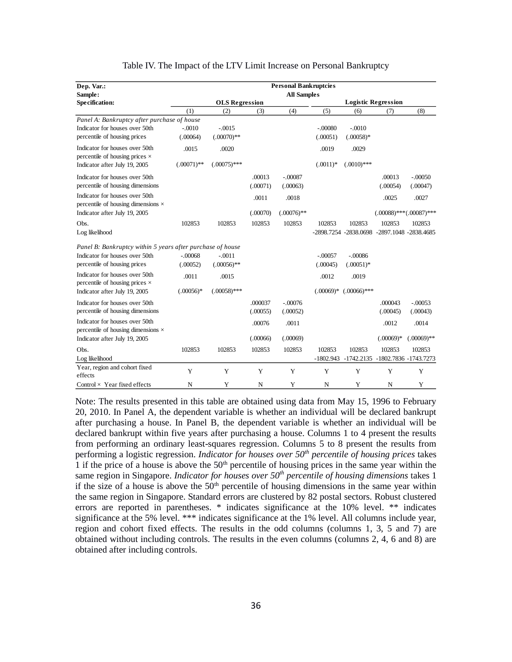| Dep. Var.:                                                                  |               |                       |          | <b>Personal Bankruptcies</b> |             |                |                                             |               |
|-----------------------------------------------------------------------------|---------------|-----------------------|----------|------------------------------|-------------|----------------|---------------------------------------------|---------------|
| Sample:                                                                     |               |                       |          | <b>All Samples</b>           |             |                |                                             |               |
| Specification:                                                              |               | <b>OLS Regression</b> |          | <b>Logistic Regression</b>   |             |                |                                             |               |
|                                                                             | (1)           | (2)                   | (3)      | (4)                          | (5)         | (6)            | (7)                                         | (8)           |
| Panel A: Bankruptcy after purchase of house                                 |               |                       |          |                              |             |                |                                             |               |
| Indicator for houses over 50th                                              | $-.0010$      | $-.0015$              |          |                              | $-.00080$   | $-.0010$       |                                             |               |
| percentile of housing prices                                                | (.00064)      | $(.00070)$ **         |          |                              | (.00051)    | $(.00058)*$    |                                             |               |
| Indicator for houses over 50th                                              | .0015         | .0020                 |          |                              | .0019       | .0029          |                                             |               |
| percentile of housing prices $\times$                                       |               |                       |          |                              |             |                |                                             |               |
| Indicator after July 19, 2005                                               | $(.00071)$ ** | $(.00075)$ ***        |          |                              | $(.0011)*$  | $(.0010)$ ***  |                                             |               |
| Indicator for houses over 50th                                              |               |                       | .00013   | $-.00087$                    |             |                | .00013                                      | $-.00050$     |
| percentile of housing dimensions                                            |               |                       | (.00071) | (.00063)                     |             |                | (.00054)                                    | (.00047)      |
| Indicator for houses over 50th<br>percentile of housing dimensions $\times$ |               |                       | .0011    | .0018                        |             |                | .0025                                       | .0027         |
| Indicator after July 19, 2005                                               |               |                       | (.00070) | $(.00076)$ **                |             |                | $(.00088)$ *** $(.00087)$ ***               |               |
| Obs.                                                                        | 102853        | 102853                | 102853   | 102853                       | 102853      | 102853         | 102853                                      | 102853        |
| Log likelihood                                                              |               |                       |          |                              |             |                | -2898.7254 -2838.0698 -2897.1048 -2838.4685 |               |
| Panel B: Bankruptcy within 5 years after purchase of house                  |               |                       |          |                              |             |                |                                             |               |
| Indicator for houses over 50th                                              | $-.00068$     | $-.0011$              |          |                              | $-.00057$   | $-.00086$      |                                             |               |
| percentile of housing prices                                                | (.00052)      | $(.00056)$ **         |          |                              | (.00045)    | $(.00051)$ *   |                                             |               |
| Indicator for houses over 50th<br>percentile of housing prices $\times$     | .0011         | .0015                 |          |                              | .0012       | .0019          |                                             |               |
| Indicator after July 19, 2005                                               | $(.00056)*$   | $(.00058)$ ***        |          |                              | $(.00069)*$ | $(.00066)$ *** |                                             |               |
| Indicator for houses over 50th                                              |               |                       | .000037  | $-.00076$                    |             |                | .000043                                     | $-.00053$     |
| percentile of housing dimensions                                            |               |                       | (.00055) | (.00052)                     |             |                | (.00045)                                    | (.00043)      |
| Indicator for houses over 50th<br>percentile of housing dimensions $\times$ |               |                       | .00076   | .0011                        |             |                | .0012                                       | .0014         |
| Indicator after July 19, 2005                                               |               |                       | (.00066) | (.00069)                     |             |                | $(.00069)*$                                 | $(.00069)$ ** |
| Obs.                                                                        | 102853        | 102853                | 102853   | 102853                       | 102853      | 102853         | 102853                                      | 102853        |
| Log likelihood                                                              |               |                       |          |                              |             |                | -1802.943 -1742.2135 -1802.7836 -1743.7273  |               |
| Year, region and cohort fixed                                               | Y             | Y                     | Y        | Y                            | Y           | Y              | Y                                           | Y             |
| effects                                                                     |               |                       |          |                              |             |                |                                             |               |
| Control $\times$ Year fixed effects                                         | N             | Y                     | N        | Y                            | $\mathbf N$ | Y              | N                                           | Y             |

#### Table IV. The Impact of the LTV Limit Increase on Personal Bankruptcy

Note: The results presented in this table are obtained using data from May 15, 1996 to February 20, 2010. In Panel A, the dependent variable is whether an individual will be declared bankrupt after purchasing a house. In Panel B, the dependent variable is whether an individual will be declared bankrupt within five years after purchasing a house. Columns 1 to 4 present the results from performing an ordinary least-squares regression. Columns 5 to 8 present the results from performing a logistic regression. *Indicator for houses over 50th percentile of housing prices* takes 1 if the price of a house is above the  $50<sup>th</sup>$  percentile of housing prices in the same year within the same region in Singapore. *Indicator for houses over 50th percentile of housing dimensions* takes 1 if the size of a house is above the  $50<sup>th</sup>$  percentile of housing dimensions in the same year within the same region in Singapore. Standard errors are clustered by 82 postal sectors. Robust clustered errors are reported in parentheses. \* indicates significance at the 10% level. \*\* indicates significance at the 5% level. \*\*\* indicates significance at the 1% level. All columns include year, region and cohort fixed effects. The results in the odd columns (columns 1, 3, 5 and 7) are obtained without including controls. The results in the even columns (columns 2, 4, 6 and 8) are obtained after including controls.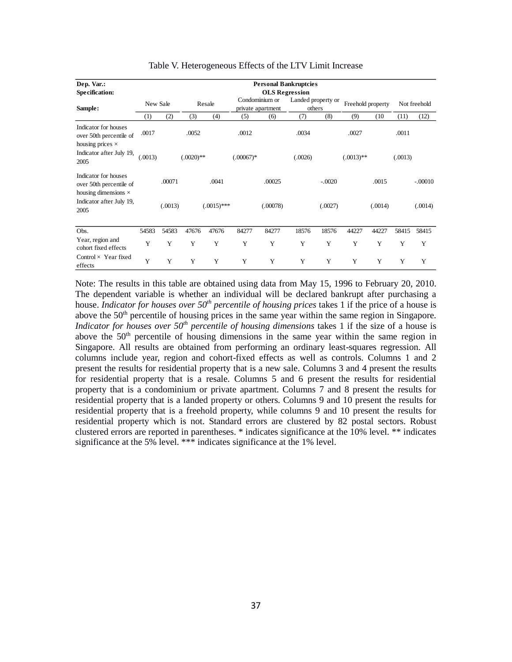| Dep. Var.:                                                                     |          |         |              |               |             |                                     | <b>Personal Bankruptcies</b> |                              |              |                   |         |              |  |
|--------------------------------------------------------------------------------|----------|---------|--------------|---------------|-------------|-------------------------------------|------------------------------|------------------------------|--------------|-------------------|---------|--------------|--|
| Specification:                                                                 |          |         |              |               |             |                                     | <b>OLS</b> Regression        |                              |              |                   |         |              |  |
| Sample:                                                                        | New Sale |         |              | Resale        |             | Condominium or<br>private apartment |                              | Landed property or<br>others |              | Freehold property |         | Not freehold |  |
|                                                                                | (1)      | (2)     | (3)          | (4)           | (5)         | (6)                                 | (7)                          | (8)                          | (9)          | (10)              | (11)    | (12)         |  |
| Indicator for houses<br>over 50th percentile of<br>housing prices $\times$     | .0017    |         | .0052        |               | .0012       |                                     | .0034                        |                              | .0027        |                   | .0011   |              |  |
| Indicator after July 19,<br>2005                                               | (.0013)  |         | $(.0020)$ ** |               | $(.00067)*$ |                                     | (.0026)                      |                              | $(.0013)$ ** |                   | (.0013) |              |  |
| Indicator for houses<br>over 50th percentile of<br>housing dimensions $\times$ |          | .00071  |              | .0041         |             | .00025                              |                              | $-.0020$                     |              | .0015             |         | $-.00010$    |  |
| Indicator after July 19,<br>2005                                               |          | (.0013) |              | $(.0015)$ *** |             | (.00078)                            |                              | (.0027)                      |              | (.0014)           |         | (.0014)      |  |
| Obs.                                                                           | 54583    | 54583   | 47676        | 47676         | 84277       | 84277                               | 18576                        | 18576                        | 44227        | 44227             | 58415   | 58415        |  |
| Year, region and<br>cohort fixed effects                                       | Y        | Y       | Y            | Y             | Y           | Y                                   | Y                            | Y                            | Y            | Y                 | Y       | Y            |  |
| Control $\times$ Year fixed<br>effects                                         | Y        | Y       | Y            | Y             | Y           | Y                                   | Y                            | Y                            | Y            | Y                 | Y       | Y            |  |

#### Table V. Heterogeneous Effects of the LTV Limit Increase

Note: The results in this table are obtained using data from May 15, 1996 to February 20, 2010. The dependent variable is whether an individual will be declared bankrupt after purchasing a house. *Indicator for houses over 50<sup>th</sup> percentile of housing prices* takes 1 if the price of a house is above the 50<sup>th</sup> percentile of housing prices in the same year within the same region in Singapore. *Indicator for houses over 50th percentile of housing dimensions* takes 1 if the size of a house is above the 50<sup>th</sup> percentile of housing dimensions in the same year within the same region in Singapore. All results are obtained from performing an ordinary least-squares regression. All columns include year, region and cohort-fixed effects as well as controls. Columns 1 and 2 present the results for residential property that is a new sale. Columns 3 and 4 present the results for residential property that is a resale. Columns 5 and 6 present the results for residential property that is a condominium or private apartment. Columns 7 and 8 present the results for residential property that is a landed property or others. Columns 9 and 10 present the results for residential property that is a freehold property, while columns 9 and 10 present the results for residential property which is not. Standard errors are clustered by 82 postal sectors. Robust clustered errors are reported in parentheses. \* indicates significance at the 10% level. \*\* indicates significance at the 5% level. \*\*\* indicates significance at the 1% level.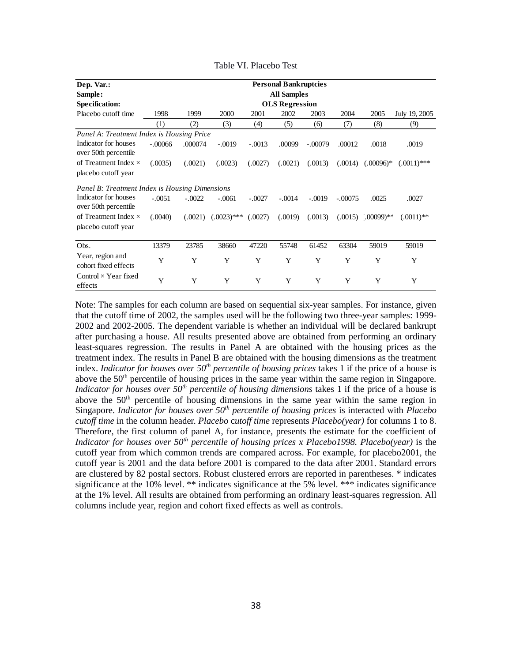| Dep. Var.:                                         |           |          |               |          | <b>Personal Bankruptcies</b> |           |           |                        |               |
|----------------------------------------------------|-----------|----------|---------------|----------|------------------------------|-----------|-----------|------------------------|---------------|
| Sample:                                            |           |          |               |          | <b>All Samples</b>           |           |           |                        |               |
| Specification:                                     |           |          |               |          | <b>OLS</b> Regression        |           |           |                        |               |
| Placebo cutoff time                                | 1998      | 1999     | 2000          | 2001     | 2002                         | 2003      | 2004      | 2005                   | July 19, 2005 |
|                                                    | (1)       | (2)      | (3)           | (4)      | (5)                          | (6)       | (7)       | (8)                    | (9)           |
| Panel A: Treatment Index is Housing Price          |           |          |               |          |                              |           |           |                        |               |
| Indicator for houses<br>over 50th percentile       | $-.00066$ | .000074  | $-.0019$      | $-.0013$ | .00099                       | $-.00079$ | .00012    | .0018                  | .0019         |
| of Treatment Index $\times$<br>placebo cutoff year | (.0035)   | (.0021)  | (.0023)       | (.0027)  | (.0021)                      | (.0013)   | (.0014)   | $(.00096)*$            | $(.0011)$ *** |
| Panel B: Treatment Index is Housing Dimensions     |           |          |               |          |                              |           |           |                        |               |
| Indicator for houses<br>over 50th percentile       | $-.0051$  | $-.0022$ | $-.0061$      | $-.0027$ | $-.0014$                     | $-.0019$  | $-.00075$ | .0025                  | .0027         |
| of Treatment Index $\times$<br>placebo cutoff year | (.0040)   | (.0021)  | $(.0023)$ *** | (.0027)  | (.0019)                      | (.0013)   |           | $(.0015)$ $(.00099)**$ | $(.0011)$ **  |
| Obs.                                               | 13379     | 23785    | 38660         | 47220    | 55748                        | 61452     | 63304     | 59019                  | 59019         |
| Year, region and<br>cohort fixed effects           | Y         | Y        | Y             | Y        | Y                            | Y         | Y         | Y                      | Y             |
| Control $\times$ Year fixed<br>effects             | Y         | Y        | Y             | Y        | Y                            | Y         | Y         | Y                      | Y             |

Table VI. Placebo Test

Note: The samples for each column are based on sequential six-year samples. For instance, given that the cutoff time of 2002, the samples used will be the following two three-year samples: 1999- 2002 and 2002-2005. The dependent variable is whether an individual will be declared bankrupt after purchasing a house. All results presented above are obtained from performing an ordinary least-squares regression. The results in Panel A are obtained with the housing prices as the treatment index. The results in Panel B are obtained with the housing dimensions as the treatment index. *Indicator for houses over 50th percentile of housing prices* takes 1 if the price of a house is above the 50<sup>th</sup> percentile of housing prices in the same year within the same region in Singapore. *Indicator for houses over 50th percentile of housing dimensions* takes 1 if the price of a house is above the 50<sup>th</sup> percentile of housing dimensions in the same year within the same region in Singapore. *Indicator for houses over 50<sup>th</sup> percentile of housing prices* is interacted with *Placebo cutoff time* in the column header. *Placebo* c*utoff time* represents *Placebo(year)* for columns 1 to 8. Therefore, the first column of panel A, for instance, presents the estimate for the coefficient of *Indicator for houses over 50th percentile of housing prices x Placebo1998. Placebo(year)* is the cutoff year from which common trends are compared across. For example, for placebo2001, the cutoff year is 2001 and the data before 2001 is compared to the data after 2001. Standard errors are clustered by 82 postal sectors. Robust clustered errors are reported in parentheses. \* indicates significance at the 10% level. \*\* indicates significance at the 5% level. \*\*\* indicates significance at the 1% level. All results are obtained from performing an ordinary least-squares regression. All columns include year, region and cohort fixed effects as well as controls.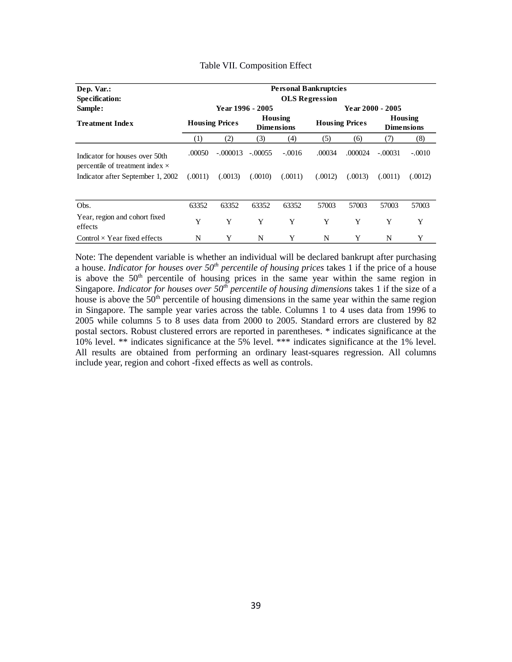| Dep. Var.:                                                                  |                       | <b>Personal Bankruptcies</b> |                              |          |                       |         |                              |          |  |  |  |
|-----------------------------------------------------------------------------|-----------------------|------------------------------|------------------------------|----------|-----------------------|---------|------------------------------|----------|--|--|--|
| Specification:                                                              |                       |                              |                              |          | <b>OLS</b> Regression |         |                              |          |  |  |  |
| Sample:                                                                     |                       | Year 1996 - 2005             |                              |          |                       |         | <b>Year 2000 - 2005</b>      |          |  |  |  |
| <b>Treatment Index</b>                                                      | <b>Housing Prices</b> |                              | Housing<br><b>Dimensions</b> |          | <b>Housing Prices</b> |         | Housing<br><b>Dimensions</b> |          |  |  |  |
|                                                                             | (1)                   | (2)                          | (3)                          | (4)      | (5)                   | (6)     | (7)                          | (8)      |  |  |  |
| Indicator for houses over 50th                                              | .00050                | $-.000013$                   | $-.00055$                    | $-.0016$ | .00034                | .000024 | $-.00031$                    | $-.0010$ |  |  |  |
| percentile of treatment index $\times$<br>Indicator after September 1, 2002 | (.0011)               | (.0013)                      | (.0010)                      | (.0011)  | (.0012)               | (.0013) | (.0011)                      | (.0012)  |  |  |  |
|                                                                             |                       |                              |                              |          |                       |         |                              |          |  |  |  |
| Obs.                                                                        | 63352                 | 63352                        | 63352                        | 63352    | 57003                 | 57003   | 57003                        | 57003    |  |  |  |
| Year, region and cohort fixed<br>effects                                    | Y                     | Y                            | Y                            | Y        | Y                     | Y       | Y                            | Y        |  |  |  |
| Control $\times$ Year fixed effects                                         | N                     | Y                            | N                            | Y        | N                     | Y       | N                            | Y        |  |  |  |

#### Table VII. Composition Effect

Note: The dependent variable is whether an individual will be declared bankrupt after purchasing a house. *Indicator for houses over 50th percentile of housing prices* takes 1 if the price of a house is above the  $50<sup>th</sup>$  percentile of housing prices in the same year within the same region in Singapore. *Indicator for houses over 50<sup>th</sup> percentile of housing dimensions* takes 1 if the size of a house is above the 50<sup>th</sup> percentile of housing dimensions in the same year within the same region in Singapore. The sample year varies across the table. Columns 1 to 4 uses data from 1996 to 2005 while columns 5 to 8 uses data from 2000 to 2005. Standard errors are clustered by 82 postal sectors. Robust clustered errors are reported in parentheses. \* indicates significance at the 10% level. \*\* indicates significance at the 5% level. \*\*\* indicates significance at the 1% level. All results are obtained from performing an ordinary least-squares regression. All columns include year, region and cohort -fixed effects as well as controls.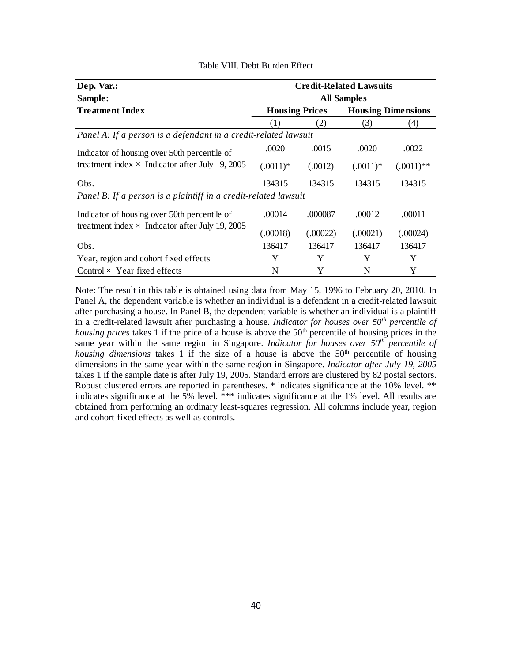| Dep. Var.:                                                      |                       |          | <b>Credit-Related Lawsuits</b> |              |  |  |  |  |
|-----------------------------------------------------------------|-----------------------|----------|--------------------------------|--------------|--|--|--|--|
| Sample:                                                         | <b>All Samples</b>    |          |                                |              |  |  |  |  |
| <b>Treatment Index</b>                                          | <b>Housing Prices</b> |          | <b>Housing Dimensions</b>      |              |  |  |  |  |
|                                                                 | (1)                   | (2)      | (3)                            | (4)          |  |  |  |  |
| Panel A: If a person is a defendant in a credit-related lawsuit |                       |          |                                |              |  |  |  |  |
| Indicator of housing over 50th percentile of                    | .0020                 | .0015    | .0020                          | .0022        |  |  |  |  |
| treatment index $\times$ Indicator after July 19, 2005          | $(.0011)*$            | (.0012)  | $(.0011)*$                     | $(.0011)$ ** |  |  |  |  |
| Obs.                                                            | 134315                | 134315   | 134315                         | 134315       |  |  |  |  |
| Panel B: If a person is a plaintiff in a credit-related lawsuit |                       |          |                                |              |  |  |  |  |
| Indicator of housing over 50th percentile of                    | .00014                | .000087  | .00012                         | .00011       |  |  |  |  |
| treatment index $\times$ Indicator after July 19, 2005          | (.00018)              | (.00022) | (.00021)                       | (.00024)     |  |  |  |  |
| Obs.                                                            | 136417                | 136417   | 136417                         | 136417       |  |  |  |  |
| Year, region and cohort fixed effects                           | Y                     | Y        | Y                              | Y            |  |  |  |  |
| Control $\times$ Year fixed effects                             | N                     | Y        | N                              | Y            |  |  |  |  |

## Table VIII. Debt Burden Effect

Note: The result in this table is obtained using data from May 15, 1996 to February 20, 2010. In Panel A, the dependent variable is whether an individual is a defendant in a credit-related lawsuit after purchasing a house. In Panel B, the dependent variable is whether an individual is a plaintiff in a credit-related lawsuit after purchasing a house. *Indicator for houses over 50th percentile of housing prices* takes 1 if the price of a house is above the 50<sup>th</sup> percentile of housing prices in the same year within the same region in Singapore. *Indicator for houses over 50th percentile of housing dimensions* takes 1 if the size of a house is above the  $50<sup>th</sup>$  percentile of housing dimensions in the same year within the same region in Singapore. *Indicator after July 19, 2005* takes 1 if the sample date is after July 19, 2005. Standard errors are clustered by 82 postal sectors. Robust clustered errors are reported in parentheses. \* indicates significance at the 10% level. \*\* indicates significance at the 5% level. \*\*\* indicates significance at the 1% level. All results are obtained from performing an ordinary least-squares regression. All columns include year, region and cohort-fixed effects as well as controls.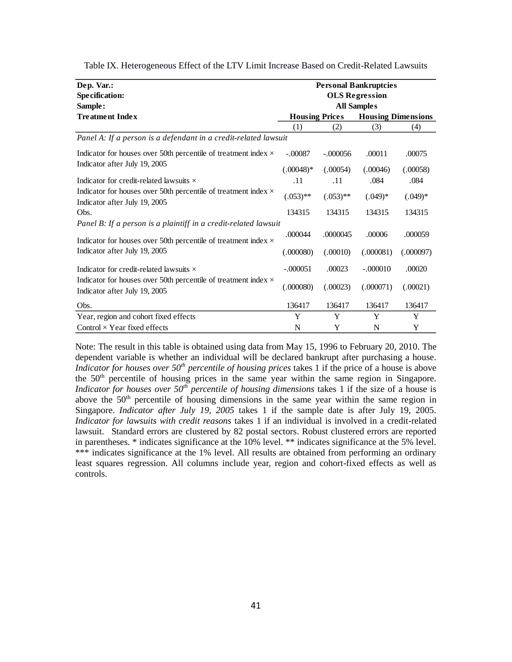| Dep. Var.:<br><b>Specification:</b>                                                                    |                       |             | <b>Personal Bankruptcies</b><br><b>OLS Regression</b> |           |
|--------------------------------------------------------------------------------------------------------|-----------------------|-------------|-------------------------------------------------------|-----------|
| Sample:                                                                                                |                       |             | <b>All Samples</b>                                    |           |
| <b>Treatment Index</b>                                                                                 | <b>Housing Prices</b> |             | <b>Housing Dimensions</b>                             |           |
|                                                                                                        | (1)                   | (2)         | (3)                                                   | (4)       |
| Panel A: If a person is a defendant in a credit-related lawsuit                                        |                       |             |                                                       |           |
| Indicator for houses over 50th percentile of treatment index $\times$                                  | $-.00087$             | $-.000056$  | .00011                                                | .00075    |
| Indicator after July 19, 2005                                                                          | $(.00048)*$           | (.00054)    | (.00046)                                              | (.00058)  |
| Indicator for credit-related lawsuits $\times$                                                         | .11                   | .11         | .084                                                  | .084      |
| Indicator for houses over 50th percentile of treatment index $\times$<br>Indicator after July 19, 2005 | $(.053)$ **           | $(.053)$ ** | $(.049)*$                                             | $(.049)*$ |
| Obs.                                                                                                   | 134315                | 134315      | 134315                                                | 134315    |
| Panel B: If a person is a plaintiff in a credit-related lawsuit                                        |                       |             |                                                       |           |
| Indicator for houses over 50th percentile of treatment index $\times$                                  | .000044               | .0000045    | .00006                                                | .000059   |
| Indicator after July 19, 2005                                                                          | (.000080)             | (.00010)    | (.000081)                                             | (.000097) |
| Indicator for credit-related lawsuits $\times$                                                         | $-.000051$            | .00023      | $-.000010$                                            | .00020    |
| Indicator for houses over 50th percentile of treatment index $\times$<br>Indicator after July 19, 2005 | (.000080)             | (.00023)    | (.000071)                                             | (.00021)  |
| Obs.                                                                                                   | 136417                | 136417      | 136417                                                | 136417    |
| Year, region and cohort fixed effects                                                                  | Y                     | Y           | Y                                                     | Y         |
| Control $\times$ Year fixed effects                                                                    | N                     | Y           | N                                                     | Y         |

Table IX. Heterogeneous Effect of the LTV Limit Increase Based on Credit-Related Lawsuits

Note: The result in this table is obtained using data from May 15, 1996 to February 20, 2010. The dependent variable is whether an individual will be declared bankrupt after purchasing a house. *Indicator for houses over 50th percentile of housing prices* takes 1 if the price of a house is above the 50<sup>th</sup> percentile of housing prices in the same year within the same region in Singapore. *Indicator for houses over 50th percentile of housing dimensions* takes 1 if the size of a house is above the 50<sup>th</sup> percentile of housing dimensions in the same year within the same region in Singapore. *Indicator after July 19, 2005* takes 1 if the sample date is after July 19, 2005. *Indicator for lawsuits with credit reasons* takes 1 if an individual is involved in a credit-related lawsuit. Standard errors are clustered by 82 postal sectors. Robust clustered errors are reported in parentheses. \* indicates significance at the 10% level. \*\* indicates significance at the 5% level. \*\*\* indicates significance at the 1% level. All results are obtained from performing an ordinary least squares regression. All columns include year, region and cohort-fixed effects as well as controls.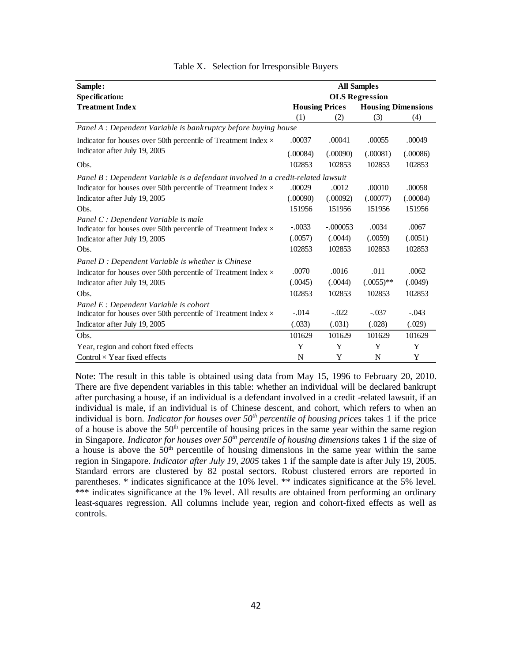| Sample:                                                                          |          |                       | <b>All Samples</b>        |          |
|----------------------------------------------------------------------------------|----------|-----------------------|---------------------------|----------|
| <b>Specification:</b>                                                            |          |                       | <b>OLS</b> Regression     |          |
| <b>Treatment Index</b>                                                           |          | <b>Housing Prices</b> | <b>Housing Dimensions</b> |          |
|                                                                                  | (1)      | (2)                   | (3)                       | (4)      |
| Panel A : Dependent Variable is bankruptcy before buying house                   |          |                       |                           |          |
| Indicator for houses over 50th percentile of Treatment Index $\times$            | .00037   | .00041                | .00055                    | .00049   |
| Indicator after July 19, 2005                                                    | (.00084) | (.00090)              | (.00081)                  | (.00086) |
| Obs.                                                                             | 102853   | 102853                | 102853                    | 102853   |
| Panel B : Dependent Variable is a defendant involved in a credit-related lawsuit |          |                       |                           |          |
| Indicator for houses over 50th percentile of Treatment Index $\times$            | .00029   | .0012                 | .00010                    | .00058   |
| Indicator after July 19, 2005                                                    | (.00090) | (.00092)              | (.00077)                  | (.00084) |
| Obs.                                                                             | 151956   | 151956                | 151956                    | 151956   |
| Panel C : Dependent Variable is male                                             |          |                       |                           |          |
| Indicator for houses over 50th percentile of Treatment Index $\times$            | $-.0033$ | $-.000053$            | .0034                     | .0067    |
| Indicator after July 19, 2005                                                    | (.0057)  | (.0044)               | (.0059)                   | (.0051)  |
| Obs.                                                                             | 102853   | 102853                | 102853                    | 102853   |
| Panel D : Dependent Variable is whether is Chinese                               |          |                       |                           |          |
| Indicator for houses over 50th percentile of Treatment Index $\times$            | .0070    | .0016                 | .011                      | .0062    |
| Indicator after July 19, 2005                                                    | (.0045)  | (.0044)               | $(.0055)$ **              | (.0049)  |
| Obs.                                                                             | 102853   | 102853                | 102853                    | 102853   |
| Panel E : Dependent Variable is cohort                                           |          |                       |                           |          |
| Indicator for houses over 50th percentile of Treatment Index $\times$            | $-.014$  | $-.022$               | $-.037$                   | $-.043$  |
| Indicator after July 19, 2005                                                    | (.033)   | (.031)                | (.028)                    | (.029)   |
| Obs.                                                                             | 101629   | 101629                | 101629                    | 101629   |
| Year, region and cohort fixed effects                                            | Y        | Y                     | Y                         | Y        |
| Control $\times$ Year fixed effects                                              | N        | Y                     | N                         | Y        |

|  |  |  | Table X. Selection for Irresponsible Buyers |  |
|--|--|--|---------------------------------------------|--|
|--|--|--|---------------------------------------------|--|

Note: The result in this table is obtained using data from May 15, 1996 to February 20, 2010. There are five dependent variables in this table: whether an individual will be declared bankrupt after purchasing a house, if an individual is a defendant involved in a credit -related lawsuit, if an individual is male, if an individual is of Chinese descent, and cohort, which refers to when an individual is born. *Indicator for houses over 50th percentile of housing prices* takes 1 if the price of a house is above the  $50<sup>th</sup>$  percentile of housing prices in the same year within the same region in Singapore. *Indicator for houses over 50th percentile of housing dimensions* takes 1 if the size of a house is above the  $50<sup>th</sup>$  percentile of housing dimensions in the same year within the same region in Singapore. *Indicator after July 19, 2005* takes 1 if the sample date is after July 19, 2005. Standard errors are clustered by 82 postal sectors. Robust clustered errors are reported in parentheses. \* indicates significance at the 10% level. \*\* indicates significance at the 5% level. \*\*\* indicates significance at the 1% level. All results are obtained from performing an ordinary least-squares regression. All columns include year, region and cohort-fixed effects as well as controls.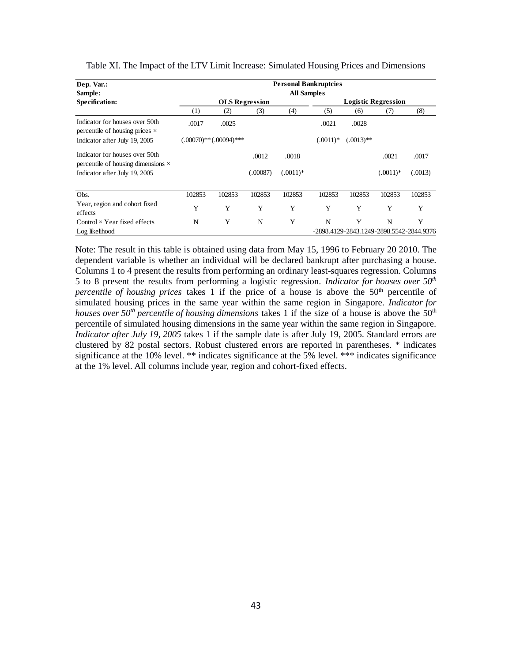| Dep. Var.:                                                                  |        | <b>Personal Bankruptcies</b> |          |            |            |                                          |             |         |  |  |  |
|-----------------------------------------------------------------------------|--------|------------------------------|----------|------------|------------|------------------------------------------|-------------|---------|--|--|--|
| Sample:                                                                     |        | <b>All Samples</b>           |          |            |            |                                          |             |         |  |  |  |
| Specification:                                                              |        | <b>OLS</b> Regression        |          |            |            | <b>Logistic Regression</b>               |             |         |  |  |  |
|                                                                             | (1)    | (2)                          | (3)      | (4)        | (5)        | (6)                                      | (7)         | (8)     |  |  |  |
| Indicator for houses over 50th<br>percentile of housing prices $\times$     | .0017  | .0025                        |          |            | .0021      | .0028                                    |             |         |  |  |  |
| Indicator after July 19, 2005                                               |        | $(.00070)$ ** $(.00094)$ *** |          |            | $(.0011)*$ | $(.0013)$ **                             |             |         |  |  |  |
| Indicator for houses over 50th<br>percentile of housing dimensions $\times$ |        |                              | .0012    | .0018      |            |                                          | .0021       | .0017   |  |  |  |
| Indicator after July 19, 2005                                               |        |                              | (.00087) | $(.0011)*$ |            |                                          | $(.0011)$ * | (.0013) |  |  |  |
| Obs.                                                                        | 102853 | 102853                       | 102853   | 102853     | 102853     | 102853                                   | 102853      | 102853  |  |  |  |
| Year, region and cohort fixed<br>effects                                    | Y      | Y                            | Y        | Y          | Y          | Y                                        | Y           | Y       |  |  |  |
| Control $\times$ Year fixed effects                                         | N      | Y                            | N        | Y          | N          | Y                                        | N           | Y       |  |  |  |
| Log likelihood                                                              |        |                              |          |            |            | -2898.4129-2843.1249-2898.5542-2844.9376 |             |         |  |  |  |

Table XI. The Impact of the LTV Limit Increase: Simulated Housing Prices and Dimensions

Note: The result in this table is obtained using data from May 15, 1996 to February 20 2010. The dependent variable is whether an individual will be declared bankrupt after purchasing a house. Columns 1 to 4 present the results from performing an ordinary least-squares regression. Columns 5 to 8 present the results from performing a logistic regression. *Indicator for houses over 50th percentile of housing prices* takes 1 if the price of a house is above the 50<sup>th</sup> percentile of simulated housing prices in the same year within the same region in Singapore. *Indicator for houses over 50<sup>th</sup> percentile of housing dimensions* takes 1 if the size of a house is above the 50<sup>th</sup> percentile of simulated housing dimensions in the same year within the same region in Singapore. *Indicator after July 19, 2005* takes 1 if the sample date is after July 19, 2005. Standard errors are clustered by 82 postal sectors. Robust clustered errors are reported in parentheses. \* indicates significance at the 10% level. \*\* indicates significance at the 5% level. \*\*\* indicates significance at the 1% level. All columns include year, region and cohort-fixed effects.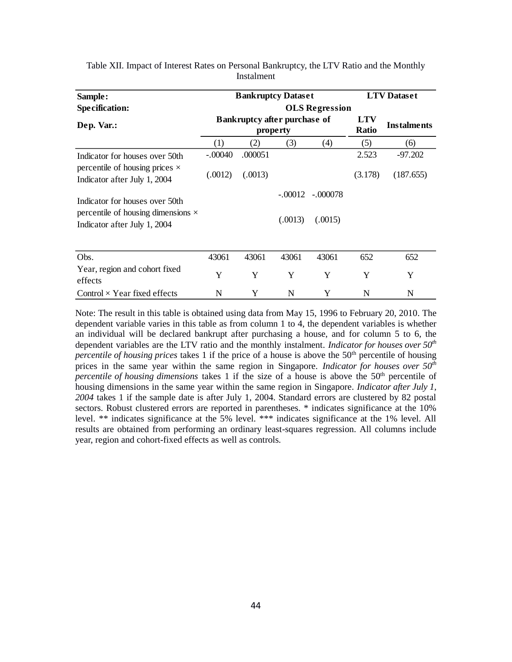| Sample:                                                                   |                       | <b>Bankruptcy Dataset</b>                       |                            | <b>LTV</b> Dataset |         |           |  |  |  |  |
|---------------------------------------------------------------------------|-----------------------|-------------------------------------------------|----------------------------|--------------------|---------|-----------|--|--|--|--|
| Specification:                                                            | <b>OLS</b> Regression |                                                 |                            |                    |         |           |  |  |  |  |
| Dep. Var.:                                                                |                       | <b>Bankruptcy after purchase of</b><br>property | <b>LTV</b><br><b>Ratio</b> | <b>Instalments</b> |         |           |  |  |  |  |
|                                                                           | (1)                   | (2)                                             | (3)                        | (4)                | (5)     | (6)       |  |  |  |  |
| Indicator for houses over 50th                                            | $-.00040$             | .000051                                         |                            |                    | 2.523   | $-97.202$ |  |  |  |  |
| percentile of housing prices $\times$<br>Indicator after July 1, 2004     | (.0012)               | (.0013)                                         |                            |                    | (3.178) | (187.655) |  |  |  |  |
| Indicator for houses over 50th                                            |                       |                                                 |                            | $-.00012-.000078$  |         |           |  |  |  |  |
| percentile of housing dimensions $\times$<br>Indicator after July 1, 2004 |                       |                                                 | (.0013)                    | (.0015)            |         |           |  |  |  |  |
| Obs.                                                                      | 43061                 | 43061                                           | 43061                      | 43061              | 652     | 652       |  |  |  |  |
| Year, region and cohort fixed<br>effects                                  | Y                     | Y                                               | Y                          | Y                  | Y       | Y         |  |  |  |  |
| Control $\times$ Year fixed effects                                       | N                     | Y.                                              | N.                         |                    | N       | N         |  |  |  |  |

Table XII. Impact of Interest Rates on Personal Bankruptcy, the LTV Ratio and the Monthly Instalment

Note: The result in this table is obtained using data from May 15, 1996 to February 20, 2010. The dependent variable varies in this table as from column 1 to 4, the dependent variables is whether an individual will be declared bankrupt after purchasing a house, and for column 5 to 6, the dependent variables are the LTV ratio and the monthly instalment. *Indicator for houses over 50th percentile of housing prices* takes 1 if the price of a house is above the 50<sup>th</sup> percentile of housing prices in the same year within the same region in Singapore. *Indicator for houses over 50th* percentile of housing dimensions takes 1 if the size of a house is above the 50<sup>th</sup> percentile of housing dimensions in the same year within the same region in Singapore. *Indicator after July 1, 2004* takes 1 if the sample date is after July 1, 2004. Standard errors are clustered by 82 postal sectors. Robust clustered errors are reported in parentheses. \* indicates significance at the 10% level. \*\* indicates significance at the 5% level. \*\*\* indicates significance at the 1% level. All results are obtained from performing an ordinary least-squares regression. All columns include year, region and cohort-fixed effects as well as controls.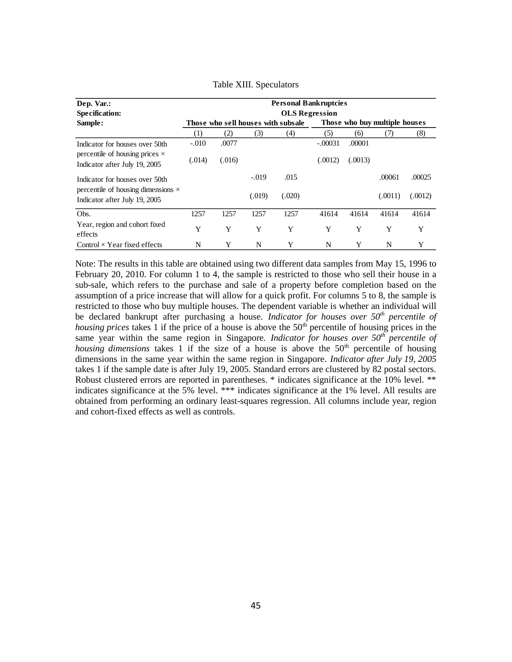| Dep. Var.:                                                                 | <b>Personal Bankruptcies</b> |        |         |                                    |           |                               |         |         |  |  |  |  |
|----------------------------------------------------------------------------|------------------------------|--------|---------|------------------------------------|-----------|-------------------------------|---------|---------|--|--|--|--|
| <b>Specification:</b>                                                      | <b>OLS</b> Regression        |        |         |                                    |           |                               |         |         |  |  |  |  |
| Sample:                                                                    |                              |        |         | Those who sell houses with subsale |           | Those who buy multiple houses |         |         |  |  |  |  |
|                                                                            | (1)                          | (2)    | (3)     | (4)                                | (5)       | (6)                           | (7)     | (8)     |  |  |  |  |
| Indicator for houses over 50th                                             | $-.010$                      | .0077  |         |                                    | $-.00031$ | .00001                        |         |         |  |  |  |  |
| percentile of housing prices $\times$<br>Indicator after July 19, 2005     | (.014)                       | (.016) |         |                                    | (.0012)   | (.0013)                       |         |         |  |  |  |  |
| Indicator for houses over 50th                                             |                              |        | $-.019$ | .015                               |           |                               | .00061  | .00025  |  |  |  |  |
| percentile of housing dimensions $\times$<br>Indicator after July 19, 2005 |                              |        | (.019)  | (.020)                             |           |                               | (.0011) | (.0012) |  |  |  |  |
| Obs.                                                                       | 1257                         | 1257   | 1257    | 1257                               | 41614     | 41614                         | 41614   | 41614   |  |  |  |  |
| Year, region and cohort fixed<br>effects                                   | Y                            | Y      | Y       | Y                                  | Y         | Y                             | Y       | Y       |  |  |  |  |
| Control $\times$ Year fixed effects                                        | N                            | Y      | N       | Y                                  | N         | Y                             | N       | Y       |  |  |  |  |

#### Table XIII. Speculators

Note: The results in this table are obtained using two different data samples from May 15, 1996 to February 20, 2010. For column 1 to 4, the sample is restricted to those who sell their house in a sub-sale, which refers to the purchase and sale of a property before completion based on the assumption of a price increase that will allow for a quick profit. For columns 5 to 8, the sample is restricted to those who buy multiple houses. The dependent variable is whether an individual will be declared bankrupt after purchasing a house. *Indicator for houses over 50th percentile of housing prices* takes 1 if the price of a house is above the 50<sup>th</sup> percentile of housing prices in the same year within the same region in Singapore. *Indicator for houses over 50th percentile of housing dimensions* takes 1 if the size of a house is above the  $50<sup>th</sup>$  percentile of housing dimensions in the same year within the same region in Singapore. *Indicator after July 19, 2005* takes 1 if the sample date is after July 19, 2005. Standard errors are clustered by 82 postal sectors. Robust clustered errors are reported in parentheses. \* indicates significance at the 10% level. \*\* indicates significance at the 5% level. \*\*\* indicates significance at the 1% level. All results are obtained from performing an ordinary least-squares regression. All columns include year, region and cohort-fixed effects as well as controls.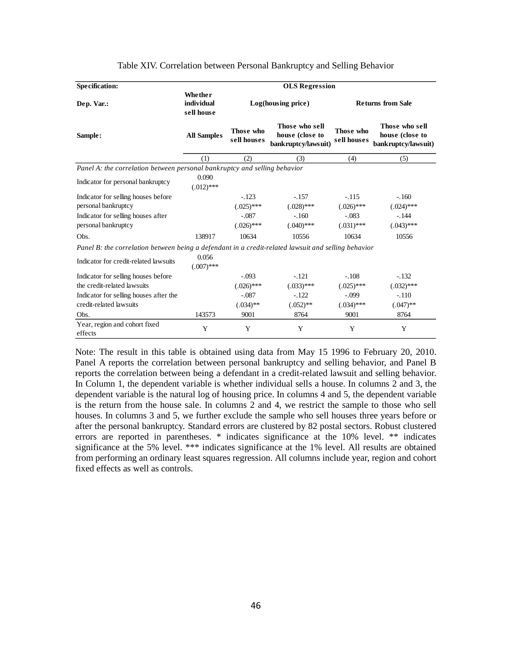| <b>Specification:</b>                                                                               | <b>OLS Regression</b>               |                          |                                                          |                          |                                                          |  |  |  |  |  |
|-----------------------------------------------------------------------------------------------------|-------------------------------------|--------------------------|----------------------------------------------------------|--------------------------|----------------------------------------------------------|--|--|--|--|--|
| Dep. Var.:                                                                                          | Whether<br>individual<br>sell house |                          | Log(housing price)                                       | <b>Returns from Sale</b> |                                                          |  |  |  |  |  |
| Sample:                                                                                             | <b>All Samples</b>                  | Those who<br>sell houses | Those who sell<br>house (close to<br>bankruptcy/lawsuit) | Those who<br>sell houses | Those who sell<br>house (close to<br>bankruptcy/lawsuit) |  |  |  |  |  |
|                                                                                                     | (1)                                 | (2)                      | (3)                                                      | (4)                      | (5)                                                      |  |  |  |  |  |
| Panel A: the correlation between personal bankruptcy and selling behavior                           |                                     |                          |                                                          |                          |                                                          |  |  |  |  |  |
| Indicator for personal bankruptcy                                                                   | 0.090<br>$(.012)$ ***               |                          |                                                          |                          |                                                          |  |  |  |  |  |
| Indicator for selling houses before                                                                 |                                     | $-.123$                  | $-.157$                                                  | $-115$                   | $-.160$                                                  |  |  |  |  |  |
| personal bankruptcy                                                                                 |                                     | $(.025)$ ***             | $(.028)$ ***                                             | $(.026)$ ***             | $(.024)$ ***                                             |  |  |  |  |  |
| Indicator for selling houses after                                                                  |                                     | $-.087$                  | $-.160$                                                  | $-.083$                  | $-144$                                                   |  |  |  |  |  |
| personal bankruptcy                                                                                 |                                     | $(.026)$ ***             | $(.040)$ ***                                             | $(.031)$ ***             | $(.043)$ ***                                             |  |  |  |  |  |
| Obs.                                                                                                | 138917                              | 10634                    | 10556                                                    | 10634                    | 10556                                                    |  |  |  |  |  |
| Panel B: the correlation between being a defendant in a credit-related lawsuit and selling behavior |                                     |                          |                                                          |                          |                                                          |  |  |  |  |  |
| Indicator for credit-related lawsuits                                                               | 0.056<br>$(.007)$ ***               |                          |                                                          |                          |                                                          |  |  |  |  |  |
| Indicator for selling houses before                                                                 |                                     | $-.093$                  | $-.121$                                                  | $-.108$                  | $-.132$                                                  |  |  |  |  |  |
| the credit-related lawsuits                                                                         |                                     | $(.026)$ ***             | $(.033)$ ***                                             | $(.025)$ ***             | $(.032)$ ***                                             |  |  |  |  |  |
| Indicator for selling houses after the                                                              |                                     | $-.087$                  | $-.122$                                                  | $-.099$                  | $-.110$                                                  |  |  |  |  |  |
| credit-related lawsuits                                                                             |                                     | $(.034)$ **              | $(.052)$ **                                              | $(.034)$ ***             | $(.047)$ **                                              |  |  |  |  |  |
| Obs.                                                                                                | 143573                              | 9001                     | 8764                                                     | 9001                     | 8764                                                     |  |  |  |  |  |
| Year, region and cohort fixed<br>effects                                                            | Y                                   | Y                        | Y                                                        | Y                        | Y                                                        |  |  |  |  |  |

#### Table XIV. Correlation between Personal Bankruptcy and Selling Behavior

Note: The result in this table is obtained using data from May 15 1996 to February 20, 2010. Panel A reports the correlation between personal bankruptcy and selling behavior, and Panel B reports the correlation between being a defendant in a credit-related lawsuit and selling behavior. In Column 1, the dependent variable is whether individual sells a house. In columns 2 and 3, the dependent variable is the natural log of housing price. In columns 4 and 5, the dependent variable is the return from the house sale. In columns 2 and 4, we restrict the sample to those who sell houses. In columns 3 and 5, we further exclude the sample who sell houses three years before or after the personal bankruptcy. Standard errors are clustered by 82 postal sectors. Robust clustered errors are reported in parentheses. \* indicates significance at the 10% level. \*\* indicates significance at the 5% level. \*\*\* indicates significance at the 1% level. All results are obtained from performing an ordinary least squares regression. All columns include year, region and cohort fixed effects as well as controls.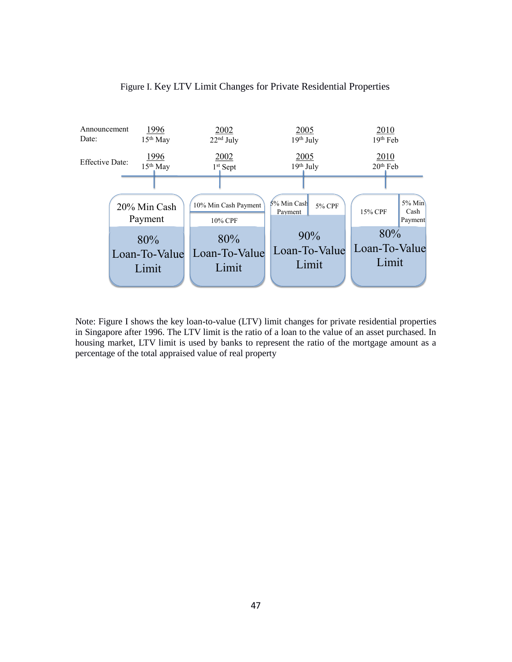

## Figure I. Key LTV Limit Changes for Private Residential Properties

Note: Figure I shows the key loan-to-value (LTV) limit changes for private residential properties in Singapore after 1996. The LTV limit is the ratio of a loan to the value of an asset purchased. In housing market, LTV limit is used by banks to represent the ratio of the mortgage amount as a percentage of the total appraised value of real property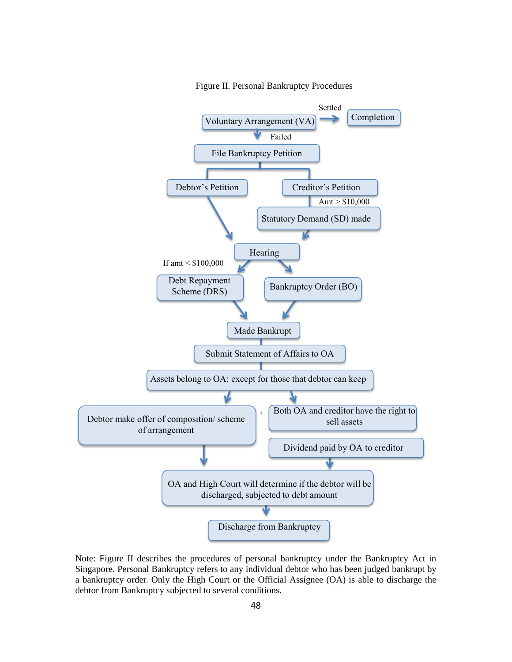

Figure II. Personal Bankruptcy Procedures

Note: Figure II describes the procedures of personal bankruptcy under the Bankruptcy Act in Singapore. Personal Bankruptcy refers to any individual debtor who has been judged bankrupt by a bankruptcy order. Only the High Court or the Official Assignee (OA) is able to discharge the debtor from Bankruptcy subjected to several conditions.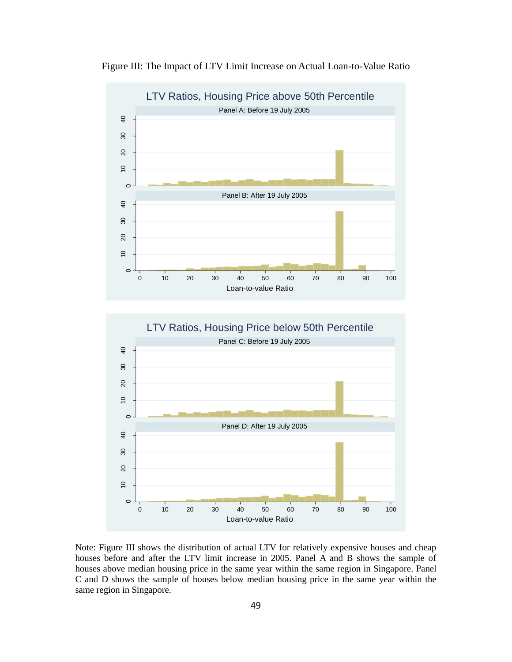

Figure III: The Impact of LTV Limit Increase on Actual Loan-to-Value Ratio

Note: Figure III shows the distribution of actual LTV for relatively expensive houses and cheap houses before and after the LTV limit increase in 2005. Panel A and B shows the sample of houses above median housing price in the same year within the same region in Singapore. Panel C and D shows the sample of houses below median housing price in the same year within the same region in Singapore.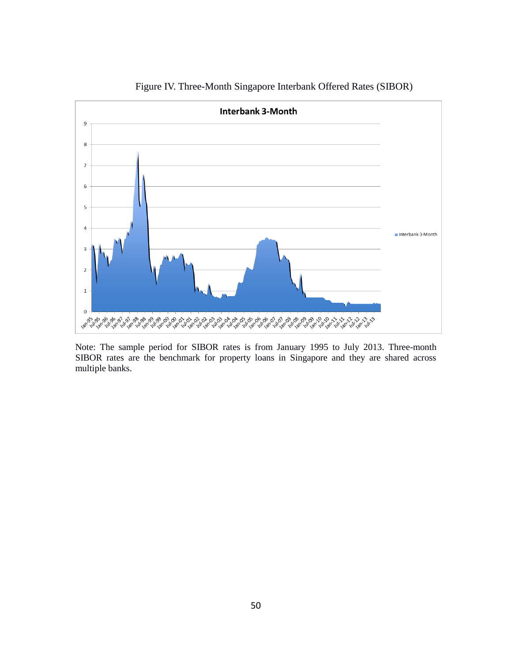

Figure IV. Three-Month Singapore Interbank Offered Rates (SIBOR)

Note: The sample period for SIBOR rates is from January 1995 to July 2013. Three-month SIBOR rates are the benchmark for property loans in Singapore and they are shared across multiple banks.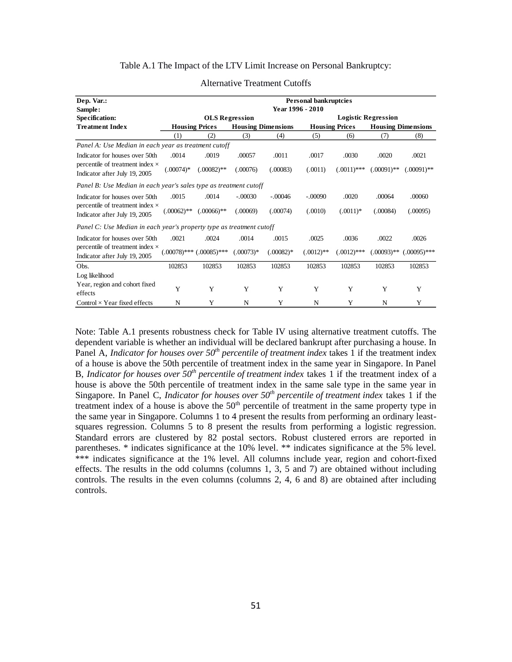## Table A.1 The Impact of the LTV Limit Increase on Personal Bankruptcy:

| Dep. Var.:<br>Sample:                                                   | <b>Personal bankruptcies</b><br>Year 1996 - 2010 |                               |             |                           |              |                       |                            |                           |  |
|-------------------------------------------------------------------------|--------------------------------------------------|-------------------------------|-------------|---------------------------|--------------|-----------------------|----------------------------|---------------------------|--|
| Specification:                                                          |                                                  | <b>OLS</b> Regression         |             |                           |              |                       | <b>Logistic Regression</b> |                           |  |
| <b>Treatment Index</b>                                                  |                                                  | <b>Housing Prices</b>         |             | <b>Housing Dimensions</b> |              | <b>Housing Prices</b> |                            | <b>Housing Dimensions</b> |  |
|                                                                         | (1)                                              | (2)                           | (3)         | (4)                       | (5)          | (6)                   | (7)                        | (8)                       |  |
| Panel A: Use Median in each year as treatment cutoff                    |                                                  |                               |             |                           |              |                       |                            |                           |  |
| Indicator for houses over 50th                                          | .0014                                            | .0019                         | .00057      | .0011                     | .0017        | .0030                 | .0020                      | .0021                     |  |
| percentile of treatment index $\times$<br>Indicator after July 19, 2005 | $(.00074)*$                                      | $(.00082)$ **                 | (.00076)    | (.00083)                  | (.0011)      | $(.0011)$ ***         | $(.00091)$ **              | $(.00091)$ **             |  |
| Panel B: Use Median in each year's sales type as treatment cutoff       |                                                  |                               |             |                           |              |                       |                            |                           |  |
| Indicator for houses over 50th                                          | .0015                                            | .0014                         | $-.00030$   | $-.00046$                 | $-.00090$    | .0020                 | .00064                     | .00060                    |  |
| percentile of treatment index $\times$<br>Indicator after July 19, 2005 | $(.00062)$ **                                    | $(.00066)$ **                 | (.00069)    | (.00074)                  | (.0010)      | $(.0011)*$            | (.00084)                   | (.00095)                  |  |
| Panel C: Use Median in each year's property type as treatment cutoff    |                                                  |                               |             |                           |              |                       |                            |                           |  |
| Indicator for houses over 50th                                          | .0021                                            | .0024                         | .0014       | .0015                     | .0025        | .0036                 | .0022                      | .0026                     |  |
| percentile of treatment index $\times$<br>Indicator after July 19, 2005 |                                                  | $(.00078)$ *** $(.00085)$ *** | $(.00073)*$ | $(.00082)$ *              | $(.0012)$ ** | $(.0012)$ ***         | $(.00093)$ **              | $(.00095)$ ***            |  |
| Obs.                                                                    | 102853                                           | 102853                        | 102853      | 102853                    | 102853       | 102853                | 102853                     | 102853                    |  |
| Log likelihood                                                          |                                                  |                               |             |                           |              |                       |                            |                           |  |
| Year, region and cohort fixed<br>effects                                | Y                                                | Y                             | Y           | Y                         | Y            | Y                     | Y                          | Y                         |  |
| Control $\times$ Year fixed effects                                     | N                                                | Y                             | N           | Y                         | N            | Y                     | N                          |                           |  |

#### Alternative Treatment Cutoffs

Note: Table A.1 presents robustness check for Table IV using alternative treatment cutoffs. The dependent variable is whether an individual will be declared bankrupt after purchasing a house. In Panel A, *Indicator for houses over 50<sup>th</sup> percentile of treatment index* takes 1 if the treatment index of a house is above the 50th percentile of treatment index in the same year in Singapore. In Panel B, *Indicator for houses over 50th percentile of treatment index* takes 1 if the treatment index of a house is above the 50th percentile of treatment index in the same sale type in the same year in Singapore. In Panel C, *Indicator for houses over 50th percentile of treatment index* takes 1 if the treatment index of a house is above the  $50<sup>th</sup>$  percentile of treatment in the same property type in the same year in Singapore. Columns 1 to 4 present the results from performing an ordinary leastsquares regression. Columns 5 to 8 present the results from performing a logistic regression. Standard errors are clustered by 82 postal sectors. Robust clustered errors are reported in parentheses. \* indicates significance at the 10% level. \*\* indicates significance at the 5% level. \*\*\* indicates significance at the 1% level. All columns include year, region and cohort-fixed effects. The results in the odd columns (columns 1, 3, 5 and 7) are obtained without including controls. The results in the even columns (columns 2, 4, 6 and 8) are obtained after including controls.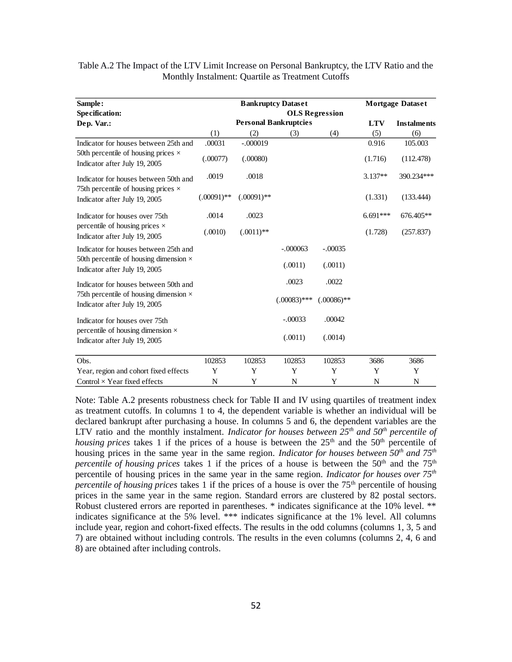| Sample:                                                                        |               |               | <b>Bankruptcy Dataset</b>    | <b>Mortgage Dataset</b> |            |                    |  |
|--------------------------------------------------------------------------------|---------------|---------------|------------------------------|-------------------------|------------|--------------------|--|
| <b>Specification:</b>                                                          |               |               |                              | <b>OLS</b> Regression   |            |                    |  |
| Dep. Var.:                                                                     |               |               | <b>Personal Bankruptcies</b> |                         | <b>LTV</b> | <b>Instalments</b> |  |
|                                                                                | (1)           | (2)           | (3)                          | (4)                     | (5)        | (6)                |  |
| Indicator for houses between 25th and                                          | .00031        | $-.000019$    |                              |                         | 0.916      | 105.003            |  |
| 50th percentile of housing prices $\times$<br>Indicator after July 19, 2005    | (.00077)      | (.00080)      |                              |                         | (1.716)    | (112.478)          |  |
| Indicator for houses between 50th and                                          | .0019         | .0018         |                              |                         | $3.137**$  | 390.234***         |  |
| 75th percentile of housing prices $\times$<br>Indicator after July 19, 2005    | $(.00091)$ ** | $(.00091)$ ** |                              |                         | (1.331)    | (133.444)          |  |
| Indicator for houses over 75th                                                 | .0014         | .0023         |                              |                         | $6.691***$ | 676.405**          |  |
| percentile of housing prices $\times$<br>Indicator after July 19, 2005         | (.0010)       | $(.0011)$ **  |                              |                         | (1.728)    | (257.837)          |  |
| Indicator for houses between 25th and                                          |               |               | $-.000063$                   | $-.00035$               |            |                    |  |
| 50th percentile of housing dimension $\times$<br>Indicator after July 19, 2005 |               |               | (.0011)                      | (.0011)                 |            |                    |  |
| Indicator for houses between 50th and                                          |               |               | .0023                        | .0022                   |            |                    |  |
| 75th percentile of housing dimension $\times$<br>Indicator after July 19, 2005 |               |               | $(.00083)$ ***               | $(.00086)$ **           |            |                    |  |
| Indicator for houses over 75th                                                 |               |               | $-.00033$                    | .00042                  |            |                    |  |
| percentile of housing dimension $\times$<br>Indicator after July 19, 2005      |               |               | (.0011)                      | (.0014)                 |            |                    |  |
| Obs.                                                                           | 102853        | 102853        | 102853                       | 102853                  | 3686       | 3686               |  |
| Year, region and cohort fixed effects                                          | Y             | Y             | Y                            | Y                       | Y          | Y                  |  |
| Control $\times$ Year fixed effects                                            | N             | Y             | N                            | Y                       | N          | N                  |  |

Table A.2 The Impact of the LTV Limit Increase on Personal Bankruptcy, the LTV Ratio and the Monthly Instalment: Quartile as Treatment Cutoffs

Note: Table A.2 presents robustness check for Table II and IV using quartiles of treatment index as treatment cutoffs. In columns 1 to 4, the dependent variable is whether an individual will be declared bankrupt after purchasing a house. In columns 5 and 6, the dependent variables are the LTV ratio and the monthly instalment. *Indicator for houses between 25th and 50th percentile of housing prices* takes 1 if the prices of a house is between the  $25<sup>th</sup>$  and the  $50<sup>th</sup>$  percentile of housing prices in the same year in the same region. *Indicator for houses between 50th and 75th percentile of housing prices* takes 1 if the prices of a house is between the 50<sup>th</sup> and the 75<sup>th</sup> percentile of housing prices in the same year in the same region. *Indicator for houses over 75th percentile of housing prices* takes 1 if the prices of a house is over the 75<sup>th</sup> percentile of housing prices in the same year in the same region. Standard errors are clustered by 82 postal sectors. Robust clustered errors are reported in parentheses. \* indicates significance at the 10% level. \*\* indicates significance at the 5% level. \*\*\* indicates significance at the 1% level. All columns include year, region and cohort-fixed effects. The results in the odd columns (columns 1, 3, 5 and 7) are obtained without including controls. The results in the even columns (columns 2, 4, 6 and 8) are obtained after including controls.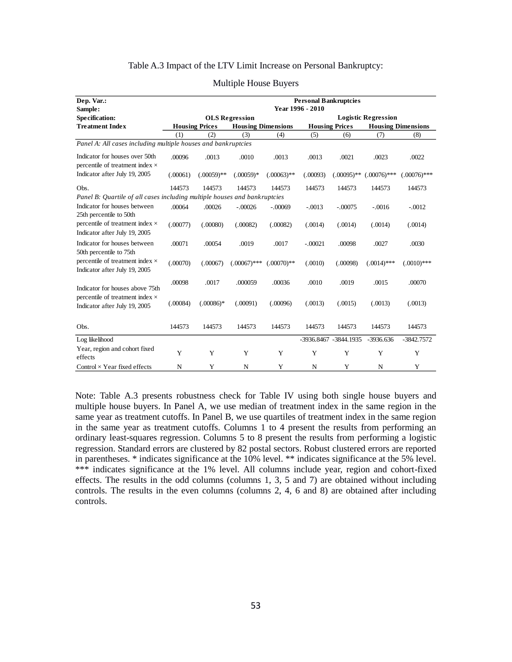## Table A.3 Impact of the LTV Limit Increase on Personal Bankruptcy:

| Dep. Var.:                                                                | <b>Personal Bankruptcies</b><br>Year 1996 - 2010 |                       |                           |                            |           |                       |                |                           |  |  |  |
|---------------------------------------------------------------------------|--------------------------------------------------|-----------------------|---------------------------|----------------------------|-----------|-----------------------|----------------|---------------------------|--|--|--|
| Sample:<br><b>Specification:</b>                                          |                                                  |                       | <b>OLS</b> Regression     | <b>Logistic Regression</b> |           |                       |                |                           |  |  |  |
| <b>Treatment Index</b>                                                    |                                                  | <b>Housing Prices</b> | <b>Housing Dimensions</b> |                            |           | <b>Housing Prices</b> |                | <b>Housing Dimensions</b> |  |  |  |
|                                                                           | (1)                                              | (2)                   | (3)                       | (4)                        | (5)       | (6)                   | (7)            | (8)                       |  |  |  |
| Panel A: All cases including multiple houses and bankruptcies             |                                                  |                       |                           |                            |           |                       |                |                           |  |  |  |
| Indicator for houses over 50th<br>percentile of treatment index ×         | .00096                                           | .0013                 | .0010                     | .0013                      | .0013     | .0021                 | .0023          | .0022                     |  |  |  |
| Indicator after July 19, 2005                                             | (.00061)                                         | $(.00059)$ **         | $(.00059)*$               | $(.00063)$ **              | (.00093)  | $(.00095)$ **         | $(.00076)$ *** | $(.00076)$ ***            |  |  |  |
| Obs.                                                                      | 144573                                           | 144573                | 144573                    | 144573                     | 144573    | 144573                | 144573         | 144573                    |  |  |  |
| Panel B: Quartile of all cases including multiple houses and bankruptcies |                                                  |                       |                           |                            |           |                       |                |                           |  |  |  |
| Indicator for houses between<br>25th percentile to 50th                   | .00064                                           | .00026                | $-.00026$                 | $-.00069$                  | $-.0013$  | $-.00075$             | $-.0016$       | $-.0012$                  |  |  |  |
| percentile of treatment index ×<br>Indicator after July 19, 2005          | (.00077)                                         | (.00080)              | (.00082)                  | (.00082)                   | (.0014)   | (.0014)               | (.0014)        | (.0014)                   |  |  |  |
| Indicator for houses between<br>50th percentile to 75th                   | .00071                                           | .00054                | .0019                     | .0017                      | $-.00021$ | .00098                | .0027          | .0030                     |  |  |  |
| percentile of treatment index ×<br>Indicator after July 19, 2005          | (.00070)                                         | (.00067)              | $(.00067)$ ***            | $(.00070)**$               | (.0010)   | (.00098)              | $(.0014)$ ***  | $(.0010)$ ***             |  |  |  |
| Indicator for houses above 75th                                           | .00098                                           | .0017                 | .000059                   | .00036                     | .0010     | .0019                 | .0015          | .00070                    |  |  |  |
| percentile of treatment index $\times$<br>Indicator after July 19, 2005   | (.00084)                                         | $(.00086)*$           | (.00091)                  | (.00096)                   | (.0013)   | (.0015)               | (.0013)        | (.0013)                   |  |  |  |
| Obs.                                                                      | 144573                                           | 144573                | 144573                    | 144573                     | 144573    | 144573                | 144573         | 144573                    |  |  |  |
| Log likelihood                                                            |                                                  |                       |                           |                            |           | -3936.8467 -3844.1935 | -3936.636      | $-3842.7572$              |  |  |  |
| Year, region and cohort fixed<br>effects                                  | Y                                                | Y                     | Y                         | Y                          | Y         | Y                     | Y              | Y                         |  |  |  |
| Control $\times$ Year fixed effects                                       | N                                                | Y                     | N                         | Y                          | N         | Y                     | N              | Y                         |  |  |  |

#### Multiple House Buyers

Note: Table A.3 presents robustness check for Table IV using both single house buyers and multiple house buyers. In Panel A, we use median of treatment index in the same region in the same year as treatment cutoffs. In Panel B, we use quartiles of treatment index in the same region in the same year as treatment cutoffs. Columns 1 to 4 present the results from performing an ordinary least-squares regression. Columns 5 to 8 present the results from performing a logistic regression. Standard errors are clustered by 82 postal sectors. Robust clustered errors are reported in parentheses. \* indicates significance at the 10% level. \*\* indicates significance at the 5% level. \*\*\* indicates significance at the 1% level. All columns include year, region and cohort-fixed effects. The results in the odd columns (columns 1, 3, 5 and 7) are obtained without including controls. The results in the even columns (columns 2, 4, 6 and 8) are obtained after including controls.